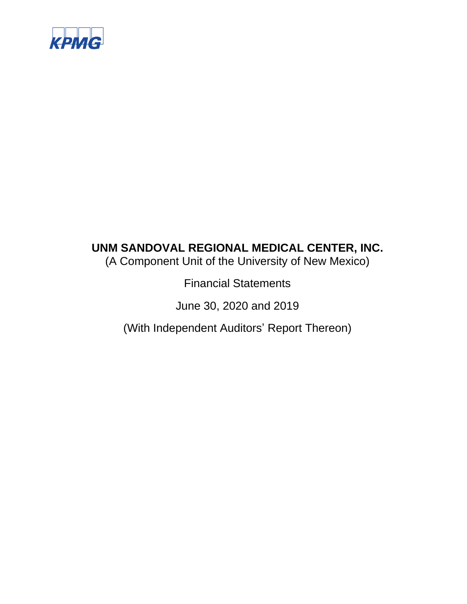

(A Component Unit of the University of New Mexico)

Financial Statements

June 30, 2020 and 2019

(With Independent Auditors' Report Thereon)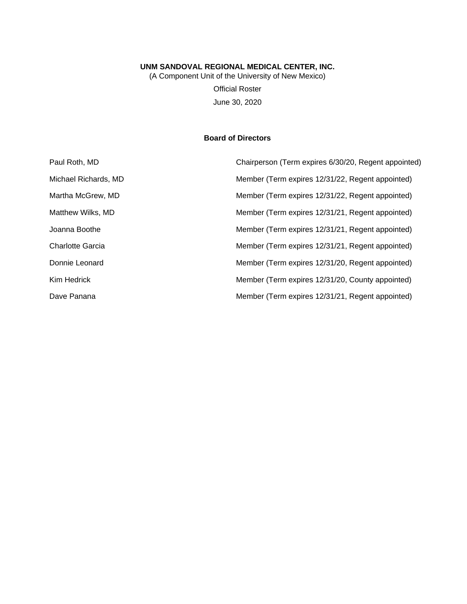(A Component Unit of the University of New Mexico) Official Roster June 30, 2020

## **Board of Directors**

| Paul Roth, MD        | Chairperson (Term expires 6/30/20, Regent appointed) |
|----------------------|------------------------------------------------------|
| Michael Richards, MD | Member (Term expires 12/31/22, Regent appointed)     |
| Martha McGrew, MD    | Member (Term expires 12/31/22, Regent appointed)     |
| Matthew Wilks, MD    | Member (Term expires 12/31/21, Regent appointed)     |
| Joanna Boothe        | Member (Term expires 12/31/21, Regent appointed)     |
| Charlotte Garcia     | Member (Term expires 12/31/21, Regent appointed)     |
| Donnie Leonard       | Member (Term expires 12/31/20, Regent appointed)     |
| Kim Hedrick          | Member (Term expires 12/31/20, County appointed)     |
| Dave Panana          | Member (Term expires 12/31/21, Regent appointed)     |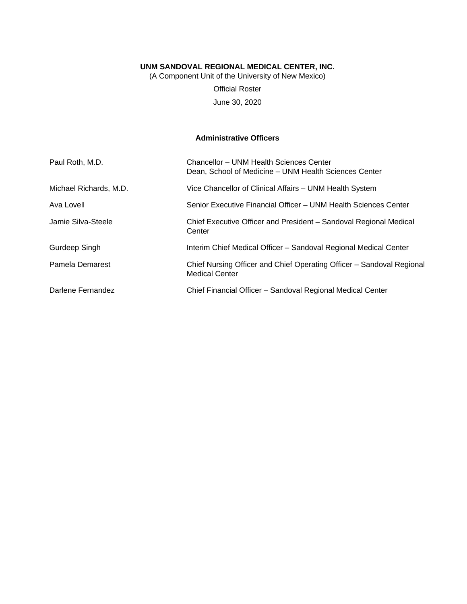(A Component Unit of the University of New Mexico)

Official Roster June 30, 2020

## **Administrative Officers**

| Paul Roth, M.D.        | Chancellor - UNM Health Sciences Center<br>Dean, School of Medicine – UNM Health Sciences Center |
|------------------------|--------------------------------------------------------------------------------------------------|
| Michael Richards, M.D. | Vice Chancellor of Clinical Affairs - UNM Health System                                          |
| Ava Lovell             | Senior Executive Financial Officer - UNM Health Sciences Center                                  |
| Jamie Silva-Steele     | Chief Executive Officer and President - Sandoval Regional Medical<br>Center                      |
| Gurdeep Singh          | Interim Chief Medical Officer - Sandoval Regional Medical Center                                 |
| Pamela Demarest        | Chief Nursing Officer and Chief Operating Officer - Sandoval Regional<br><b>Medical Center</b>   |
| Darlene Fernandez      | Chief Financial Officer - Sandoval Regional Medical Center                                       |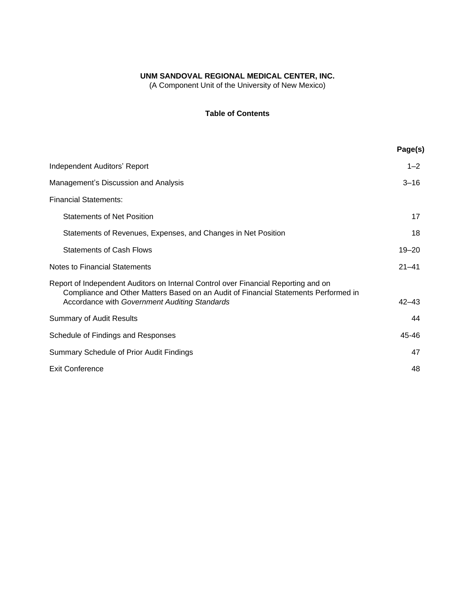(A Component Unit of the University of New Mexico)

## **Table of Contents**

| Page(s)   |
|-----------|
| $1 - 2$   |
| $3 - 16$  |
|           |
| 17        |
| 18        |
| $19 - 20$ |
| $21 - 41$ |
| $42 - 43$ |
| 44        |
| 45-46     |
| 47        |
| 48        |
|           |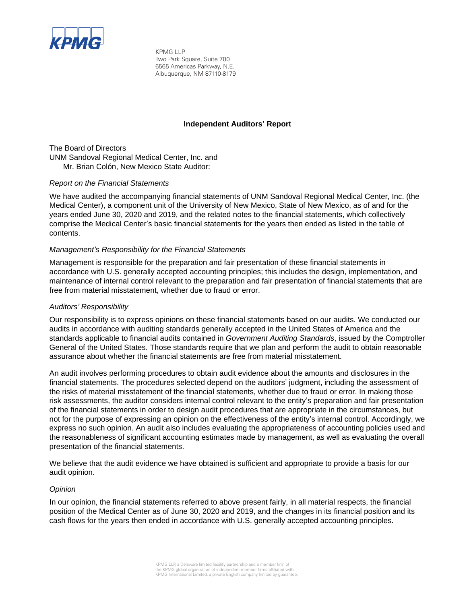

KPMG LLP Two Park Square, Suite 700 6565 Americas Parkway, N.E. Albuquerque, NM 87110-8179

### **Independent Auditors' Report**

The Board of Directors UNM Sandoval Regional Medical Center, Inc. and Mr. Brian Colón, New Mexico State Auditor:

#### *Report on the Financial Statements*

We have audited the accompanying financial statements of UNM Sandoval Regional Medical Center, Inc. (the Medical Center), a component unit of the University of New Mexico, State of New Mexico, as of and for the years ended June 30, 2020 and 2019, and the related notes to the financial statements, which collectively comprise the Medical Center's basic financial statements for the years then ended as listed in the table of contents.

## *Management's Responsibility for the Financial Statements*

Management is responsible for the preparation and fair presentation of these financial statements in accordance with U.S. generally accepted accounting principles; this includes the design, implementation, and maintenance of internal control relevant to the preparation and fair presentation of financial statements that are free from material misstatement, whether due to fraud or error.

### *Auditors' Responsibility*

Our responsibility is to express opinions on these financial statements based on our audits. We conducted our audits in accordance with auditing standards generally accepted in the United States of America and the standards applicable to financial audits contained in *Government Auditing Standards*, issued by the Comptroller General of the United States. Those standards require that we plan and perform the audit to obtain reasonable assurance about whether the financial statements are free from material misstatement.

An audit involves performing procedures to obtain audit evidence about the amounts and disclosures in the financial statements. The procedures selected depend on the auditors' judgment, including the assessment of the risks of material misstatement of the financial statements, whether due to fraud or error. In making those risk assessments, the auditor considers internal control relevant to the entity's preparation and fair presentation of the financial statements in order to design audit procedures that are appropriate in the circumstances, but not for the purpose of expressing an opinion on the effectiveness of the entity's internal control. Accordingly, we express no such opinion. An audit also includes evaluating the appropriateness of accounting policies used and the reasonableness of significant accounting estimates made by management, as well as evaluating the overall presentation of the financial statements.

We believe that the audit evidence we have obtained is sufficient and appropriate to provide a basis for our audit opinion.

#### *Opinion*

In our opinion, the financial statements referred to above present fairly, in all material respects, the financial position of the Medical Center as of June 30, 2020 and 2019, and the changes in its financial position and its cash flows for the years then ended in accordance with U.S. generally accepted accounting principles.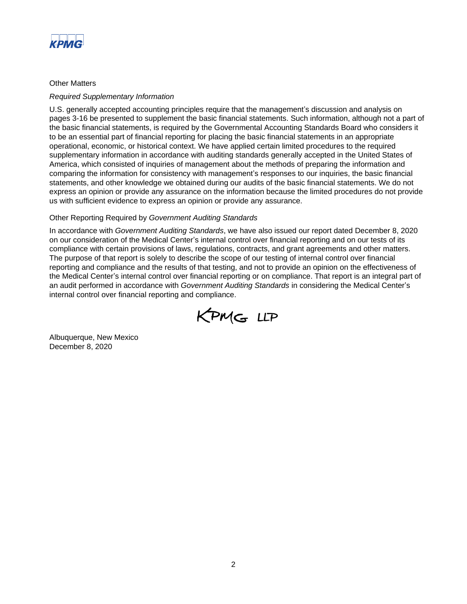

## Other Matters

#### *Required Supplementary Information*

U.S. generally accepted accounting principles require that the management's discussion and analysis on pages 3-16 be presented to supplement the basic financial statements. Such information, although not a part of the basic financial statements, is required by the Governmental Accounting Standards Board who considers it to be an essential part of financial reporting for placing the basic financial statements in an appropriate operational, economic, or historical context. We have applied certain limited procedures to the required supplementary information in accordance with auditing standards generally accepted in the United States of America, which consisted of inquiries of management about the methods of preparing the information and comparing the information for consistency with management's responses to our inquiries, the basic financial statements, and other knowledge we obtained during our audits of the basic financial statements. We do not express an opinion or provide any assurance on the information because the limited procedures do not provide us with sufficient evidence to express an opinion or provide any assurance.

## Other Reporting Required by *Government Auditing Standards*

In accordance with *Government Auditing Standards*, we have also issued our report dated December 8, 2020 on our consideration of the Medical Center's internal control over financial reporting and on our tests of its compliance with certain provisions of laws, regulations, contracts, and grant agreements and other matters. The purpose of that report is solely to describe the scope of our testing of internal control over financial reporting and compliance and the results of that testing, and not to provide an opinion on the effectiveness of the Medical Center's internal control over financial reporting or on compliance. That report is an integral part of an audit performed in accordance with *Government Auditing Standards* in considering the Medical Center's internal control over financial reporting and compliance.



Albuquerque, New Mexico December 8, 2020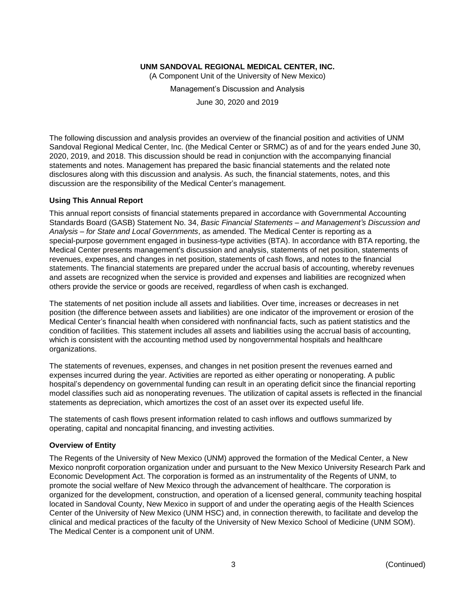(A Component Unit of the University of New Mexico)

Management's Discussion and Analysis

June 30, 2020 and 2019

The following discussion and analysis provides an overview of the financial position and activities of UNM Sandoval Regional Medical Center, Inc. (the Medical Center or SRMC) as of and for the years ended June 30, 2020, 2019, and 2018. This discussion should be read in conjunction with the accompanying financial statements and notes. Management has prepared the basic financial statements and the related note disclosures along with this discussion and analysis. As such, the financial statements, notes, and this discussion are the responsibility of the Medical Center's management.

#### **Using This Annual Report**

This annual report consists of financial statements prepared in accordance with Governmental Accounting Standards Board (GASB) Statement No. 34, *Basic Financial Statements – and Management's Discussion and Analysis – for State and Local Governments*, as amended. The Medical Center is reporting as a special-purpose government engaged in business-type activities (BTA). In accordance with BTA reporting, the Medical Center presents management's discussion and analysis, statements of net position, statements of revenues, expenses, and changes in net position, statements of cash flows, and notes to the financial statements. The financial statements are prepared under the accrual basis of accounting, whereby revenues and assets are recognized when the service is provided and expenses and liabilities are recognized when others provide the service or goods are received, regardless of when cash is exchanged.

The statements of net position include all assets and liabilities. Over time, increases or decreases in net position (the difference between assets and liabilities) are one indicator of the improvement or erosion of the Medical Center's financial health when considered with nonfinancial facts, such as patient statistics and the condition of facilities. This statement includes all assets and liabilities using the accrual basis of accounting, which is consistent with the accounting method used by nongovernmental hospitals and healthcare organizations.

The statements of revenues, expenses, and changes in net position present the revenues earned and expenses incurred during the year. Activities are reported as either operating or nonoperating. A public hospital's dependency on governmental funding can result in an operating deficit since the financial reporting model classifies such aid as nonoperating revenues. The utilization of capital assets is reflected in the financial statements as depreciation, which amortizes the cost of an asset over its expected useful life.

The statements of cash flows present information related to cash inflows and outflows summarized by operating, capital and noncapital financing, and investing activities.

## **Overview of Entity**

The Regents of the University of New Mexico (UNM) approved the formation of the Medical Center, a New Mexico nonprofit corporation organization under and pursuant to the New Mexico University Research Park and Economic Development Act. The corporation is formed as an instrumentality of the Regents of UNM, to promote the social welfare of New Mexico through the advancement of healthcare. The corporation is organized for the development, construction, and operation of a licensed general, community teaching hospital located in Sandoval County, New Mexico in support of and under the operating aegis of the Health Sciences Center of the University of New Mexico (UNM HSC) and, in connection therewith, to facilitate and develop the clinical and medical practices of the faculty of the University of New Mexico School of Medicine (UNM SOM). The Medical Center is a component unit of UNM.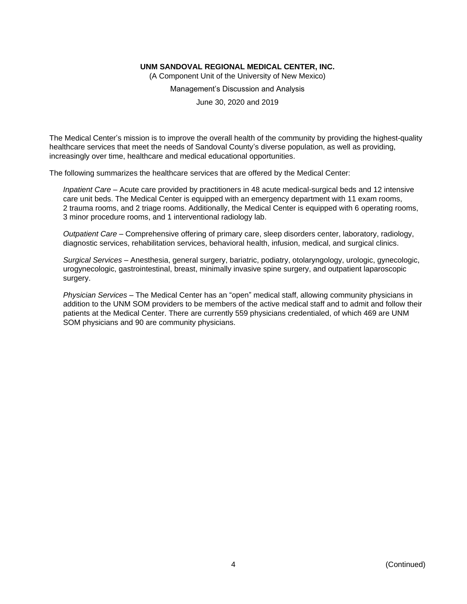(A Component Unit of the University of New Mexico)

Management's Discussion and Analysis

June 30, 2020 and 2019

The Medical Center's mission is to improve the overall health of the community by providing the highest-quality healthcare services that meet the needs of Sandoval County's diverse population, as well as providing, increasingly over time, healthcare and medical educational opportunities.

The following summarizes the healthcare services that are offered by the Medical Center:

*Inpatient Care* – Acute care provided by practitioners in 48 acute medical-surgical beds and 12 intensive care unit beds. The Medical Center is equipped with an emergency department with 11 exam rooms, 2 trauma rooms, and 2 triage rooms. Additionally, the Medical Center is equipped with 6 operating rooms, 3 minor procedure rooms, and 1 interventional radiology lab.

*Outpatient Care* – Comprehensive offering of primary care, sleep disorders center, laboratory, radiology, diagnostic services, rehabilitation services, behavioral health, infusion, medical, and surgical clinics.

*Surgical Services* – Anesthesia, general surgery, bariatric, podiatry, otolaryngology, urologic, gynecologic, urogynecologic, gastrointestinal, breast, minimally invasive spine surgery, and outpatient laparoscopic surgery.

*Physician Services* – The Medical Center has an "open" medical staff, allowing community physicians in addition to the UNM SOM providers to be members of the active medical staff and to admit and follow their patients at the Medical Center. There are currently 559 physicians credentialed, of which 469 are UNM SOM physicians and 90 are community physicians.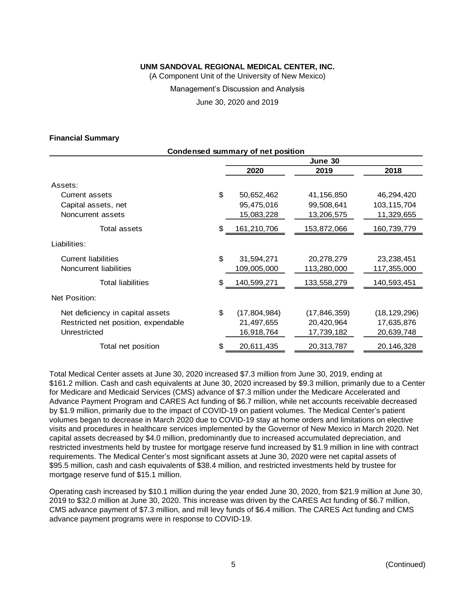(A Component Unit of the University of New Mexico)

Management's Discussion and Analysis

June 30, 2020 and 2019

#### **Financial Summary**

| <b>Condensed summary of net position</b> |    |                |                |                |  |
|------------------------------------------|----|----------------|----------------|----------------|--|
|                                          |    |                | June 30        |                |  |
|                                          |    | 2020           | 2019           | 2018           |  |
| Assets:                                  |    |                |                |                |  |
| Current assets                           | \$ | 50,652,462     | 41,156,850     | 46,294,420     |  |
| Capital assets, net                      |    | 95,475,016     | 99,508,641     | 103,115,704    |  |
| Noncurrent assets                        |    | 15,083,228     | 13,206,575     | 11,329,655     |  |
| Total assets                             | \$ | 161,210,706    | 153,872,066    | 160,739,779    |  |
| Liabilities:                             |    |                |                |                |  |
| <b>Current liabilities</b>               | \$ | 31,594,271     | 20,278,279     | 23,238,451     |  |
| Noncurrent liabilities                   |    | 109,005,000    | 113,280,000    | 117,355,000    |  |
| <b>Total liabilities</b>                 | \$ | 140,599,271    | 133,558,279    | 140,593,451    |  |
| Net Position:                            |    |                |                |                |  |
| Net deficiency in capital assets         | \$ | (17, 804, 984) | (17, 846, 359) | (18, 129, 296) |  |
| Restricted net position, expendable      |    | 21,497,655     | 20,420,964     | 17,635,876     |  |
| Unrestricted                             |    | 16,918,764     | 17,739,182     | 20,639,748     |  |
| Total net position                       | \$ | 20,611,435     | 20,313,787     | 20,146,328     |  |

Total Medical Center assets at June 30, 2020 increased \$7.3 million from June 30, 2019, ending at \$161.2 million. Cash and cash equivalents at June 30, 2020 increased by \$9.3 million, primarily due to a Center for Medicare and Medicaid Services (CMS) advance of \$7.3 million under the Medicare Accelerated and Advance Payment Program and CARES Act funding of \$6.7 million, while net accounts receivable decreased by \$1.9 million, primarily due to the impact of COVID-19 on patient volumes. The Medical Center's patient volumes began to decrease in March 2020 due to COVID-19 stay at home orders and limitations on elective visits and procedures in healthcare services implemented by the Governor of New Mexico in March 2020. Net capital assets decreased by \$4.0 million, predominantly due to increased accumulated depreciation, and restricted investments held by trustee for mortgage reserve fund increased by \$1.9 million in line with contract requirements. The Medical Center's most significant assets at June 30, 2020 were net capital assets of \$95.5 million, cash and cash equivalents of \$38.4 million, and restricted investments held by trustee for mortgage reserve fund of \$15.1 million.

Operating cash increased by \$10.1 million during the year ended June 30, 2020, from \$21.9 million at June 30, 2019 to \$32.0 million at June 30, 2020. This increase was driven by the CARES Act funding of \$6.7 million, CMS advance payment of \$7.3 million, and mill levy funds of \$6.4 million. The CARES Act funding and CMS advance payment programs were in response to COVID-19.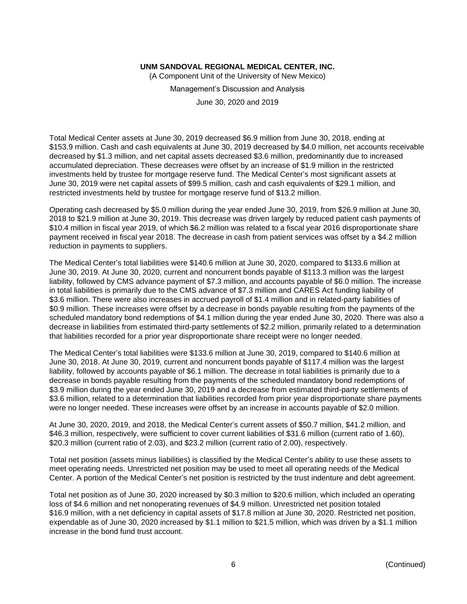(A Component Unit of the University of New Mexico)

Management's Discussion and Analysis

June 30, 2020 and 2019

Total Medical Center assets at June 30, 2019 decreased \$6.9 million from June 30, 2018, ending at \$153.9 million. Cash and cash equivalents at June 30, 2019 decreased by \$4.0 million, net accounts receivable decreased by \$1.3 million, and net capital assets decreased \$3.6 million, predominantly due to increased accumulated depreciation. These decreases were offset by an increase of \$1.9 million in the restricted investments held by trustee for mortgage reserve fund. The Medical Center's most significant assets at June 30, 2019 were net capital assets of \$99.5 million, cash and cash equivalents of \$29.1 million, and restricted investments held by trustee for mortgage reserve fund of \$13.2 million.

Operating cash decreased by \$5.0 million during the year ended June 30, 2019, from \$26.9 million at June 30, 2018 to \$21.9 million at June 30, 2019. This decrease was driven largely by reduced patient cash payments of \$10.4 million in fiscal year 2019, of which \$6.2 million was related to a fiscal year 2016 disproportionate share payment received in fiscal year 2018. The decrease in cash from patient services was offset by a \$4.2 million reduction in payments to suppliers.

The Medical Center's total liabilities were \$140.6 million at June 30, 2020, compared to \$133.6 million at June 30, 2019. At June 30, 2020, current and noncurrent bonds payable of \$113.3 million was the largest liability, followed by CMS advance payment of \$7.3 million, and accounts payable of \$6.0 million. The increase in total liabilities is primarily due to the CMS advance of \$7.3 million and CARES Act funding liability of \$3.6 million. There were also increases in accrued payroll of \$1.4 million and in related-party liabilities of \$0.9 million. These increases were offset by a decrease in bonds payable resulting from the payments of the scheduled mandatory bond redemptions of \$4.1 million during the year ended June 30, 2020. There was also a decrease in liabilities from estimated third-party settlements of \$2.2 million, primarily related to a determination that liabilities recorded for a prior year disproportionate share receipt were no longer needed.

The Medical Center's total liabilities were \$133.6 million at June 30, 2019, compared to \$140.6 million at June 30, 2018. At June 30, 2019, current and noncurrent bonds payable of \$117.4 million was the largest liability, followed by accounts payable of \$6.1 million. The decrease in total liabilities is primarily due to a decrease in bonds payable resulting from the payments of the scheduled mandatory bond redemptions of \$3.9 million during the year ended June 30, 2019 and a decrease from estimated third-party settlements of \$3.6 million, related to a determination that liabilities recorded from prior year disproportionate share payments were no longer needed. These increases were offset by an increase in accounts payable of \$2.0 million.

At June 30, 2020, 2019, and 2018, the Medical Center's current assets of \$50.7 million, \$41.2 million, and \$46.3 million, respectively, were sufficient to cover current liabilities of \$31.6 million (current ratio of 1.60), \$20.3 million (current ratio of 2.03), and \$23.2 million (current ratio of 2.00), respectively.

Total net position (assets minus liabilities) is classified by the Medical Center's ability to use these assets to meet operating needs. Unrestricted net position may be used to meet all operating needs of the Medical Center. A portion of the Medical Center's net position is restricted by the trust indenture and debt agreement.

Total net position as of June 30, 2020 increased by \$0.3 million to \$20.6 million, which included an operating loss of \$4.6 million and net nonoperating revenues of \$4.9 million. Unrestricted net position totaled \$16.9 million, with a net deficiency in capital assets of \$17.8 million at June 30, 2020. Restricted net position, expendable as of June 30, 2020 increased by \$1.1 million to \$21.5 million, which was driven by a \$1.1 million increase in the bond fund trust account.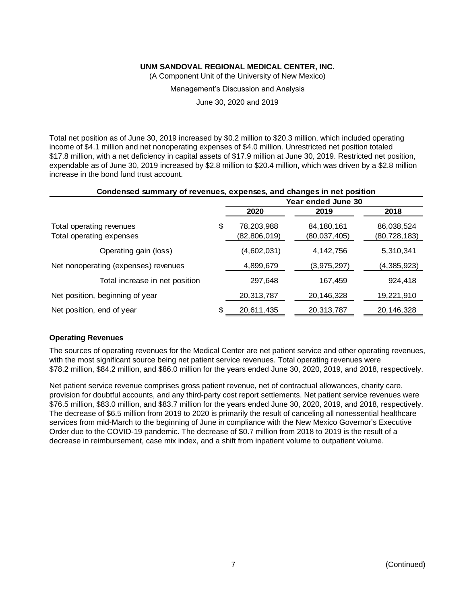(A Component Unit of the University of New Mexico)

Management's Discussion and Analysis

June 30, 2020 and 2019

Total net position as of June 30, 2019 increased by \$0.2 million to \$20.3 million, which included operating income of \$4.1 million and net nonoperating expenses of \$4.0 million. Unrestricted net position totaled \$17.8 million, with a net deficiency in capital assets of \$17.9 million at June 30, 2019. Restricted net position, expendable as of June 30, 2019 increased by \$2.8 million to \$20.4 million, which was driven by a \$2.8 million increase in the bond fund trust account.

| Condensed summary of revenues, expenses, and changes in net position |  |  |  |
|----------------------------------------------------------------------|--|--|--|
|----------------------------------------------------------------------|--|--|--|

|                                                      | Year ended June 30               |                            |                              |  |  |
|------------------------------------------------------|----------------------------------|----------------------------|------------------------------|--|--|
|                                                      | 2020                             | 2019                       | 2018                         |  |  |
| Total operating revenues<br>Total operating expenses | \$<br>78,203,988<br>(82,806,019) | 84,180,161<br>(80,037,405) | 86,038,524<br>(80, 728, 183) |  |  |
| Operating gain (loss)                                | (4,602,031)                      | 4, 142, 756                | 5,310,341                    |  |  |
| Net nonoperating (expenses) revenues                 | 4,899,679                        | (3,975,297)                | (4,385,923)                  |  |  |
| Total increase in net position                       | 297.648                          | 167,459                    | 924,418                      |  |  |
| Net position, beginning of year                      | 20,313,787                       | 20,146,328                 | 19,221,910                   |  |  |
| Net position, end of year                            | \$<br>20,611,435                 | 20,313,787                 | 20,146,328                   |  |  |

#### **Operating Revenues**

The sources of operating revenues for the Medical Center are net patient service and other operating revenues, with the most significant source being net patient service revenues. Total operating revenues were \$78.2 million, \$84.2 million, and \$86.0 million for the years ended June 30, 2020, 2019, and 2018, respectively.

Net patient service revenue comprises gross patient revenue, net of contractual allowances, charity care, provision for doubtful accounts, and any third-party cost report settlements. Net patient service revenues were \$76.5 million, \$83.0 million, and \$83.7 million for the years ended June 30, 2020, 2019, and 2018, respectively. The decrease of \$6.5 million from 2019 to 2020 is primarily the result of canceling all nonessential healthcare services from mid-March to the beginning of June in compliance with the New Mexico Governor's Executive Order due to the COVID-19 pandemic. The decrease of \$0.7 million from 2018 to 2019 is the result of a decrease in reimbursement, case mix index, and a shift from inpatient volume to outpatient volume.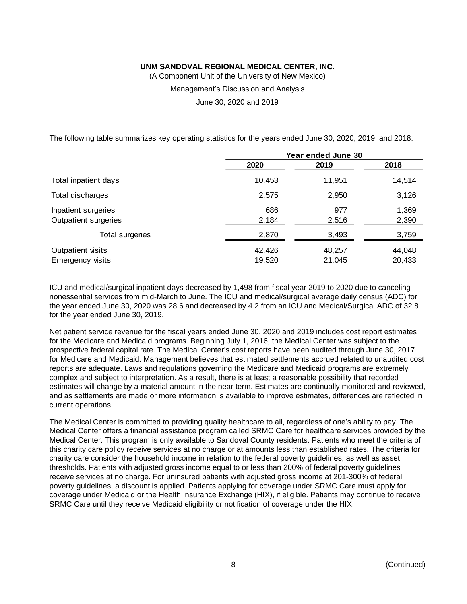(A Component Unit of the University of New Mexico)

Management's Discussion and Analysis

June 30, 2020 and 2019

The following table summarizes key operating statistics for the years ended June 30, 2020, 2019, and 2018:

|                                              | Year ended June 30 |                  |                  |  |
|----------------------------------------------|--------------------|------------------|------------------|--|
|                                              | 2020               | 2019             | 2018             |  |
| Total inpatient days                         | 10,453             | 11,951           | 14,514           |  |
| Total discharges                             | 2,575              | 2,950            | 3,126            |  |
| Inpatient surgeries<br>Outpatient surgeries  | 686<br>2,184       | 977<br>2,516     | 1,369<br>2,390   |  |
| Total surgeries                              | 2,870              | 3,493            | 3,759            |  |
| Outpatient visits<br><b>Emergency visits</b> | 42,426<br>19,520   | 48,257<br>21,045 | 44,048<br>20,433 |  |

ICU and medical/surgical inpatient days decreased by 1,498 from fiscal year 2019 to 2020 due to canceling nonessential services from mid-March to June. The ICU and medical/surgical average daily census (ADC) for the year ended June 30, 2020 was 28.6 and decreased by 4.2 from an ICU and Medical/Surgical ADC of 32.8 for the year ended June 30, 2019.

Net patient service revenue for the fiscal years ended June 30, 2020 and 2019 includes cost report estimates for the Medicare and Medicaid programs. Beginning July 1, 2016, the Medical Center was subject to the prospective federal capital rate. The Medical Center's cost reports have been audited through June 30, 2017 for Medicare and Medicaid. Management believes that estimated settlements accrued related to unaudited cost reports are adequate. Laws and regulations governing the Medicare and Medicaid programs are extremely complex and subject to interpretation. As a result, there is at least a reasonable possibility that recorded estimates will change by a material amount in the near term. Estimates are continually monitored and reviewed, and as settlements are made or more information is available to improve estimates, differences are reflected in current operations.

The Medical Center is committed to providing quality healthcare to all, regardless of one's ability to pay. The Medical Center offers a financial assistance program called SRMC Care for healthcare services provided by the Medical Center. This program is only available to Sandoval County residents. Patients who meet the criteria of this charity care policy receive services at no charge or at amounts less than established rates. The criteria for charity care consider the household income in relation to the federal poverty guidelines, as well as asset thresholds. Patients with adjusted gross income equal to or less than 200% of federal poverty guidelines receive services at no charge. For uninsured patients with adjusted gross income at 201-300% of federal poverty guidelines, a discount is applied. Patients applying for coverage under SRMC Care must apply for coverage under Medicaid or the Health Insurance Exchange (HIX), if eligible. Patients may continue to receive SRMC Care until they receive Medicaid eligibility or notification of coverage under the HIX.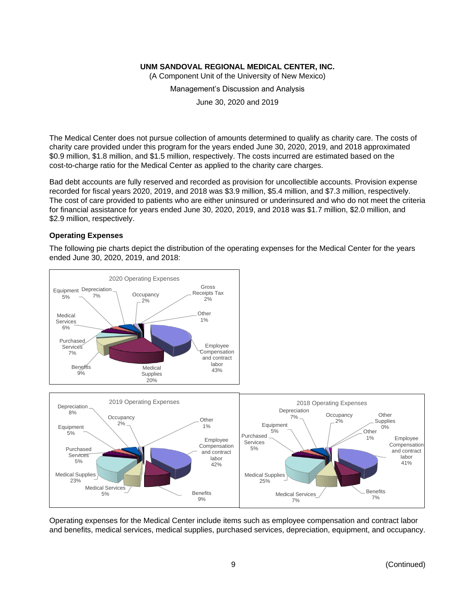(A Component Unit of the University of New Mexico)

Management's Discussion and Analysis

June 30, 2020 and 2019

The Medical Center does not pursue collection of amounts determined to qualify as charity care. The costs of charity care provided under this program for the years ended June 30, 2020, 2019, and 2018 approximated \$0.9 million, \$1.8 million, and \$1.5 million, respectively. The costs incurred are estimated based on the cost-to-charge ratio for the Medical Center as applied to the charity care charges.

Bad debt accounts are fully reserved and recorded as provision for uncollectible accounts. Provision expense recorded for fiscal years 2020, 2019, and 2018 was \$3.9 million, \$5.4 million, and \$7.3 million, respectively. The cost of care provided to patients who are either uninsured or underinsured and who do not meet the criteria for financial assistance for years ended June 30, 2020, 2019, and 2018 was \$1.7 million, \$2.0 million, and \$2.9 million, respectively.

## **Operating Expenses**

The following pie charts depict the distribution of the operating expenses for the Medical Center for the years ended June 30, 2020, 2019, and 2018:



Operating expenses for the Medical Center include items such as employee compensation and contract labor and benefits, medical services, medical supplies, purchased services, depreciation, equipment, and occupancy.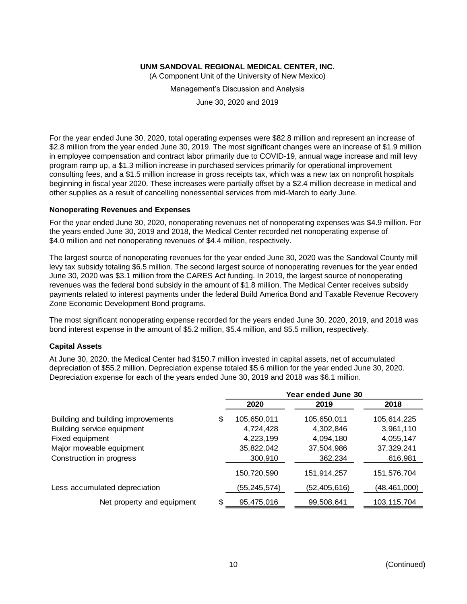(A Component Unit of the University of New Mexico)

Management's Discussion and Analysis

June 30, 2020 and 2019

For the year ended June 30, 2020, total operating expenses were \$82.8 million and represent an increase of \$2.8 million from the year ended June 30, 2019. The most significant changes were an increase of \$1.9 million in employee compensation and contract labor primarily due to COVID-19, annual wage increase and mill levy program ramp up, a \$1.3 million increase in purchased services primarily for operational improvement consulting fees, and a \$1.5 million increase in gross receipts tax, which was a new tax on nonprofit hospitals beginning in fiscal year 2020. These increases were partially offset by a \$2.4 million decrease in medical and other supplies as a result of cancelling nonessential services from mid-March to early June.

#### **Nonoperating Revenues and Expenses**

For the year ended June 30, 2020, nonoperating revenues net of nonoperating expenses was \$4.9 million. For the years ended June 30, 2019 and 2018, the Medical Center recorded net nonoperating expense of \$4.0 million and net nonoperating revenues of \$4.4 million, respectively.

The largest source of nonoperating revenues for the year ended June 30, 2020 was the Sandoval County mill levy tax subsidy totaling \$6.5 million. The second largest source of nonoperating revenues for the year ended June 30, 2020 was \$3.1 million from the CARES Act funding. In 2019, the largest source of nonoperating revenues was the federal bond subsidy in the amount of \$1.8 million. The Medical Center receives subsidy payments related to interest payments under the federal Build America Bond and Taxable Revenue Recovery Zone Economic Development Bond programs.

The most significant nonoperating expense recorded for the years ended June 30, 2020, 2019, and 2018 was bond interest expense in the amount of \$5.2 million, \$5.4 million, and \$5.5 million, respectively.

#### **Capital Assets**

At June 30, 2020, the Medical Center had \$150.7 million invested in capital assets, net of accumulated depreciation of \$55.2 million. Depreciation expense totaled \$5.6 million for the year ended June 30, 2020. Depreciation expense for each of the years ended June 30, 2019 and 2018 was \$6.1 million.

|                                    |                   | Year ended June 30 |                |
|------------------------------------|-------------------|--------------------|----------------|
|                                    | 2020              | 2019               | 2018           |
| Building and building improvements | \$<br>105,650,011 | 105,650,011        | 105,614,225    |
| Building service equipment         | 4,724,428         | 4,302,846          | 3,961,110      |
| Fixed equipment                    | 4,223,199         | 4,094,180          | 4,055,147      |
| Major moveable equipment           | 35,822,042        | 37,504,986         | 37,329,241     |
| Construction in progress           | 300,910           | 362,234            | 616,981        |
|                                    | 150,720,590       | 151,914,257        | 151,576,704    |
| Less accumulated depreciation      | (55,245,574)      | (52,405,616)       | (48, 461, 000) |
| Net property and equipment         | \$<br>95,475,016  | 99,508,641         | 103,115,704    |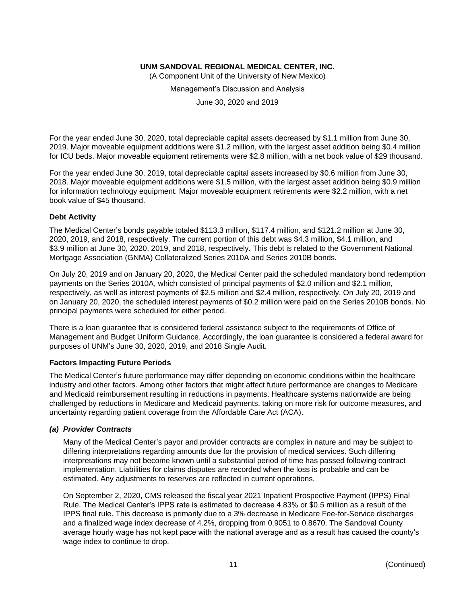(A Component Unit of the University of New Mexico)

Management's Discussion and Analysis

June 30, 2020 and 2019

For the year ended June 30, 2020, total depreciable capital assets decreased by \$1.1 million from June 30, 2019. Major moveable equipment additions were \$1.2 million, with the largest asset addition being \$0.4 million for ICU beds. Major moveable equipment retirements were \$2.8 million, with a net book value of \$29 thousand.

For the year ended June 30, 2019, total depreciable capital assets increased by \$0.6 million from June 30, 2018. Major moveable equipment additions were \$1.5 million, with the largest asset addition being \$0.9 million for information technology equipment. Major moveable equipment retirements were \$2.2 million, with a net book value of \$45 thousand.

## **Debt Activity**

The Medical Center's bonds payable totaled \$113.3 million, \$117.4 million, and \$121.2 million at June 30, 2020, 2019, and 2018, respectively. The current portion of this debt was \$4.3 million, \$4.1 million, and \$3.9 million at June 30, 2020, 2019, and 2018, respectively. This debt is related to the Government National Mortgage Association (GNMA) Collateralized Series 2010A and Series 2010B bonds.

On July 20, 2019 and on January 20, 2020, the Medical Center paid the scheduled mandatory bond redemption payments on the Series 2010A, which consisted of principal payments of \$2.0 million and \$2.1 million, respectively, as well as interest payments of \$2.5 million and \$2.4 million, respectively. On July 20, 2019 and on January 20, 2020, the scheduled interest payments of \$0.2 million were paid on the Series 2010B bonds. No principal payments were scheduled for either period.

There is a loan guarantee that is considered federal assistance subject to the requirements of Office of Management and Budget Uniform Guidance. Accordingly, the loan guarantee is considered a federal award for purposes of UNM's June 30, 2020, 2019, and 2018 Single Audit.

## **Factors Impacting Future Periods**

The Medical Center's future performance may differ depending on economic conditions within the healthcare industry and other factors. Among other factors that might affect future performance are changes to Medicare and Medicaid reimbursement resulting in reductions in payments. Healthcare systems nationwide are being challenged by reductions in Medicare and Medicaid payments, taking on more risk for outcome measures, and uncertainty regarding patient coverage from the Affordable Care Act (ACA).

## *(a) Provider Contracts*

Many of the Medical Center's payor and provider contracts are complex in nature and may be subject to differing interpretations regarding amounts due for the provision of medical services. Such differing interpretations may not become known until a substantial period of time has passed following contract implementation. Liabilities for claims disputes are recorded when the loss is probable and can be estimated. Any adjustments to reserves are reflected in current operations.

On September 2, 2020, CMS released the fiscal year 2021 Inpatient Prospective Payment (IPPS) Final Rule. The Medical Center's IPPS rate is estimated to decrease 4.83% or \$0.5 million as a result of the IPPS final rule. This decrease is primarily due to a 3% decrease in Medicare Fee-for-Service discharges and a finalized wage index decrease of 4.2%, dropping from 0.9051 to 0.8670. The Sandoval County average hourly wage has not kept pace with the national average and as a result has caused the county's wage index to continue to drop.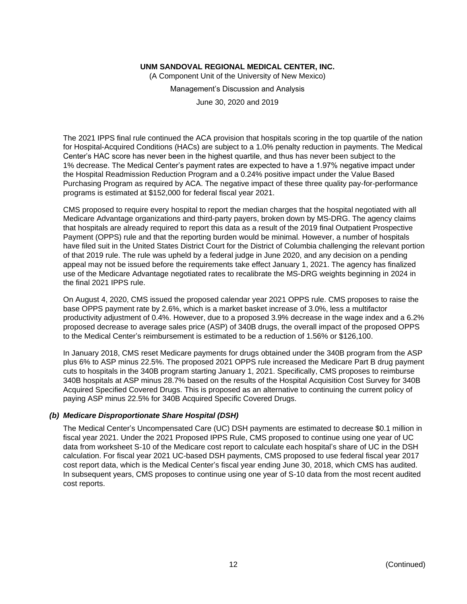(A Component Unit of the University of New Mexico)

Management's Discussion and Analysis

June 30, 2020 and 2019

The 2021 IPPS final rule continued the ACA provision that hospitals scoring in the top quartile of the nation for Hospital-Acquired Conditions (HACs) are subject to a 1.0% penalty reduction in payments. The Medical Center's HAC score has never been in the highest quartile, and thus has never been subject to the 1% decrease. The Medical Center's payment rates are expected to have a 1.97% negative impact under the Hospital Readmission Reduction Program and a 0.24% positive impact under the Value Based Purchasing Program as required by ACA. The negative impact of these three quality pay-for-performance programs is estimated at \$152,000 for federal fiscal year 2021.

CMS proposed to require every hospital to report the median charges that the hospital negotiated with all Medicare Advantage organizations and third-party payers, broken down by MS-DRG. The agency claims that hospitals are already required to report this data as a result of the 2019 final Outpatient Prospective Payment (OPPS) rule and that the reporting burden would be minimal. However, a number of hospitals have filed suit in the United States District Court for the District of Columbia challenging the relevant portion of that 2019 rule. The rule was upheld by a federal judge in June 2020, and any decision on a pending appeal may not be issued before the requirements take effect January 1, 2021. The agency has finalized use of the Medicare Advantage negotiated rates to recalibrate the MS-DRG weights beginning in 2024 in the final 2021 IPPS rule.

On August 4, 2020, CMS issued the proposed calendar year 2021 OPPS rule. CMS proposes to raise the base OPPS payment rate by 2.6%, which is a market basket increase of 3.0%, less a multifactor productivity adjustment of 0.4%. However, due to a proposed 3.9% decrease in the wage index and a 6.2% proposed decrease to average sales price (ASP) of 340B drugs, the overall impact of the proposed OPPS to the Medical Center's reimbursement is estimated to be a reduction of 1.56% or \$126,100.

In January 2018, CMS reset Medicare payments for drugs obtained under the 340B program from the ASP plus 6% to ASP minus 22.5%. The proposed 2021 OPPS rule increased the Medicare Part B drug payment cuts to hospitals in the 340B program starting January 1, 2021. Specifically, CMS proposes to reimburse 340B hospitals at ASP minus 28.7% based on the results of the Hospital Acquisition Cost Survey for 340B Acquired Specified Covered Drugs. This is proposed as an alternative to continuing the current policy of paying ASP minus 22.5% for 340B Acquired Specific Covered Drugs.

## *(b) Medicare Disproportionate Share Hospital (DSH)*

The Medical Center's Uncompensated Care (UC) DSH payments are estimated to decrease \$0.1 million in fiscal year 2021. Under the 2021 Proposed IPPS Rule, CMS proposed to continue using one year of UC data from worksheet S-10 of the Medicare cost report to calculate each hospital's share of UC in the DSH calculation. For fiscal year 2021 UC-based DSH payments, CMS proposed to use federal fiscal year 2017 cost report data, which is the Medical Center's fiscal year ending June 30, 2018, which CMS has audited. In subsequent years, CMS proposes to continue using one year of S-10 data from the most recent audited cost reports.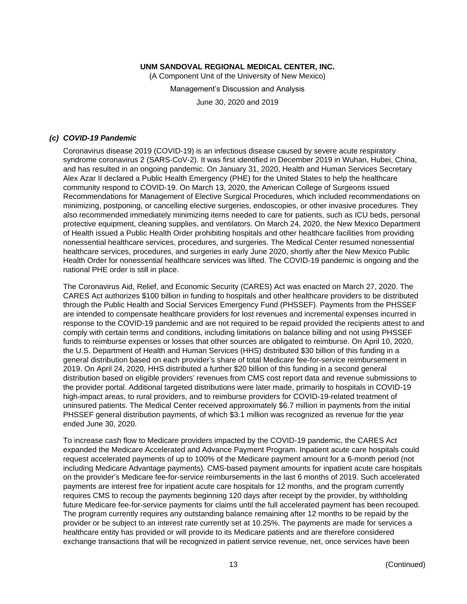(A Component Unit of the University of New Mexico) Management's Discussion and Analysis June 30, 2020 and 2019

## *(c) COVID-19 Pandemic*

Coronavirus disease 2019 (COVID-19) is an infectious disease caused by severe acute respiratory syndrome coronavirus 2 (SARS-CoV-2). It was first identified in December 2019 in Wuhan, Hubei, China, and has resulted in an ongoing pandemic. On January 31, 2020, Health and Human Services Secretary Alex Azar II declared a Public Health Emergency (PHE) for the United States to help the healthcare community respond to COVID-19. On March 13, 2020, the American College of Surgeons issued Recommendations for Management of Elective Surgical Procedures, which included recommendations on minimizing, postponing, or cancelling elective surgeries, endoscopies, or other invasive procedures. They also recommended immediately minimizing items needed to care for patients, such as ICU beds, personal protective equipment, cleaning supplies, and ventilators. On March 24, 2020, the New Mexico Department of Health issued a Public Health Order prohibiting hospitals and other healthcare facilities from providing nonessential healthcare services, procedures, and surgeries. The Medical Center resumed nonessential healthcare services, procedures, and surgeries in early June 2020, shortly after the New Mexico Public Health Order for nonessential healthcare services was lifted. The COVID-19 pandemic is ongoing and the national PHE order is still in place.

The Coronavirus Aid, Relief, and Economic Security (CARES) Act was enacted on March 27, 2020. The CARES Act authorizes \$100 billion in funding to hospitals and other healthcare providers to be distributed through the Public Health and Social Services Emergency Fund (PHSSEF). Payments from the PHSSEF are intended to compensate healthcare providers for lost revenues and incremental expenses incurred in response to the COVID-19 pandemic and are not required to be repaid provided the recipients attest to and comply with certain terms and conditions, including limitations on balance billing and not using PHSSEF funds to reimburse expenses or losses that other sources are obligated to reimburse. On April 10, 2020, the U.S. Department of Health and Human Services (HHS) distributed \$30 billion of this funding in a general distribution based on each provider's share of total Medicare fee-for-service reimbursement in 2019. On April 24, 2020, HHS distributed a further \$20 billion of this funding in a second general distribution based on eligible providers' revenues from CMS cost report data and revenue submissions to the provider portal. Additional targeted distributions were later made, primarily to hospitals in COVID-19 high-impact areas, to rural providers, and to reimburse providers for COVID-19-related treatment of uninsured patients. The Medical Center received approximately \$6.7 million in payments from the initial PHSSEF general distribution payments, of which \$3.1 million was recognized as revenue for the year ended June 30, 2020.

To increase cash flow to Medicare providers impacted by the COVID-19 pandemic, the CARES Act expanded the Medicare Accelerated and Advance Payment Program. Inpatient acute care hospitals could request accelerated payments of up to 100% of the Medicare payment amount for a 6-month period (not including Medicare Advantage payments). CMS-based payment amounts for inpatient acute care hospitals on the provider's Medicare fee-for-service reimbursements in the last 6 months of 2019. Such accelerated payments are interest free for inpatient acute care hospitals for 12 months, and the program currently requires CMS to recoup the payments beginning 120 days after receipt by the provider, by withholding future Medicare fee-for-service payments for claims until the full accelerated payment has been recouped. The program currently requires any outstanding balance remaining after 12 months to be repaid by the provider or be subject to an interest rate currently set at 10.25%. The payments are made for services a healthcare entity has provided or will provide to its Medicare patients and are therefore considered exchange transactions that will be recognized in patient service revenue, net, once services have been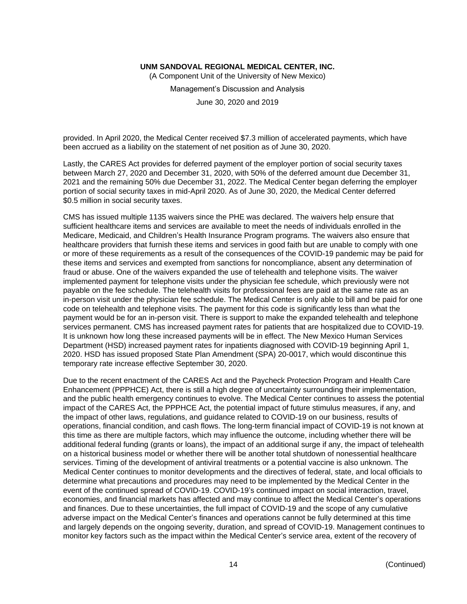(A Component Unit of the University of New Mexico)

Management's Discussion and Analysis

June 30, 2020 and 2019

provided. In April 2020, the Medical Center received \$7.3 million of accelerated payments, which have been accrued as a liability on the statement of net position as of June 30, 2020.

Lastly, the CARES Act provides for deferred payment of the employer portion of social security taxes between March 27, 2020 and December 31, 2020, with 50% of the deferred amount due December 31, 2021 and the remaining 50% due December 31, 2022. The Medical Center began deferring the employer portion of social security taxes in mid-April 2020. As of June 30, 2020, the Medical Center deferred \$0.5 million in social security taxes.

CMS has issued multiple 1135 waivers since the PHE was declared. The waivers help ensure that sufficient healthcare items and services are available to meet the needs of individuals enrolled in the Medicare, Medicaid, and Children's Health Insurance Program programs. The waivers also ensure that healthcare providers that furnish these items and services in good faith but are unable to comply with one or more of these requirements as a result of the consequences of the COVID-19 pandemic may be paid for these items and services and exempted from sanctions for noncompliance, absent any determination of fraud or abuse. One of the waivers expanded the use of telehealth and telephone visits. The waiver implemented payment for telephone visits under the physician fee schedule, which previously were not payable on the fee schedule. The telehealth visits for professional fees are paid at the same rate as an in-person visit under the physician fee schedule. The Medical Center is only able to bill and be paid for one code on telehealth and telephone visits. The payment for this code is significantly less than what the payment would be for an in-person visit. There is support to make the expanded telehealth and telephone services permanent. CMS has increased payment rates for patients that are hospitalized due to COVID-19. It is unknown how long these increased payments will be in effect. The New Mexico Human Services Department (HSD) increased payment rates for inpatients diagnosed with COVID-19 beginning April 1, 2020. HSD has issued proposed State Plan Amendment (SPA) 20-0017, which would discontinue this temporary rate increase effective September 30, 2020.

Due to the recent enactment of the CARES Act and the Paycheck Protection Program and Health Care Enhancement (PPPHCE) Act, there is still a high degree of uncertainty surrounding their implementation, and the public health emergency continues to evolve. The Medical Center continues to assess the potential impact of the CARES Act, the PPPHCE Act, the potential impact of future stimulus measures, if any, and the impact of other laws, regulations, and guidance related to COVID-19 on our business, results of operations, financial condition, and cash flows. The long-term financial impact of COVID-19 is not known at this time as there are multiple factors, which may influence the outcome, including whether there will be additional federal funding (grants or loans), the impact of an additional surge if any, the impact of telehealth on a historical business model or whether there will be another total shutdown of nonessential healthcare services. Timing of the development of antiviral treatments or a potential vaccine is also unknown. The Medical Center continues to monitor developments and the directives of federal, state, and local officials to determine what precautions and procedures may need to be implemented by the Medical Center in the event of the continued spread of COVID-19. COVID-19's continued impact on social interaction, travel, economies, and financial markets has affected and may continue to affect the Medical Center's operations and finances. Due to these uncertainties, the full impact of COVID-19 and the scope of any cumulative adverse impact on the Medical Center's finances and operations cannot be fully determined at this time and largely depends on the ongoing severity, duration, and spread of COVID-19. Management continues to monitor key factors such as the impact within the Medical Center's service area, extent of the recovery of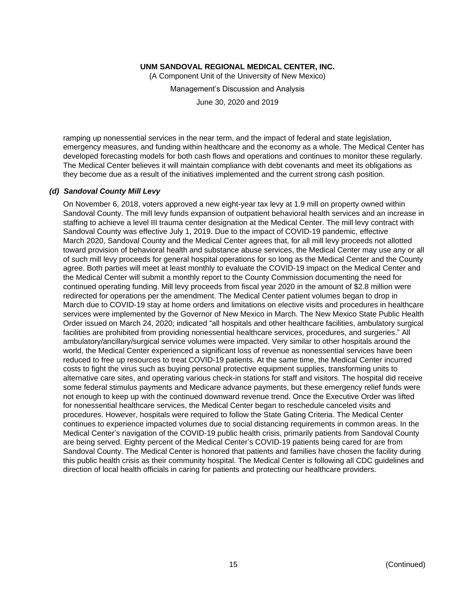(A Component Unit of the University of New Mexico)

Management's Discussion and Analysis

June 30, 2020 and 2019

ramping up nonessential services in the near term, and the impact of federal and state legislation, emergency measures, and funding within healthcare and the economy as a whole. The Medical Center has developed forecasting models for both cash flows and operations and continues to monitor these regularly. The Medical Center believes it will maintain compliance with debt covenants and meet its obligations as they become due as a result of the initiatives implemented and the current strong cash position.

#### *(d) Sandoval County Mill Levy*

On November 6, 2018, voters approved a new eight-year tax levy at 1.9 mill on property owned within Sandoval County. The mill levy funds expansion of outpatient behavioral health services and an increase in staffing to achieve a level III trauma center designation at the Medical Center. The mill levy contract with Sandoval County was effective July 1, 2019. Due to the impact of COVID-19 pandemic, effective March 2020, Sandoval County and the Medical Center agrees that, for all mill levy proceeds not allotted toward provision of behavioral health and substance abuse services, the Medical Center may use any or all of such mill levy proceeds for general hospital operations for so long as the Medical Center and the County agree. Both parties will meet at least monthly to evaluate the COVID-19 impact on the Medical Center and the Medical Center will submit a monthly report to the County Commission documenting the need for continued operating funding. Mill levy proceeds from fiscal year 2020 in the amount of \$2.8 million were redirected for operations per the amendment. The Medical Center patient volumes began to drop in March due to COVID-19 stay at home orders and limitations on elective visits and procedures in healthcare services were implemented by the Governor of New Mexico in March. The New Mexico State Public Health Order issued on March 24, 2020; indicated "all hospitals and other healthcare facilities, ambulatory surgical facilities are prohibited from providing nonessential healthcare services, procedures, and surgeries." All ambulatory/ancillary/surgical service volumes were impacted. Very similar to other hospitals around the world, the Medical Center experienced a significant loss of revenue as nonessential services have been reduced to free up resources to treat COVID-19 patients. At the same time, the Medical Center incurred costs to fight the virus such as buying personal protective equipment supplies, transforming units to alternative care sites, and operating various check-in stations for staff and visitors. The hospital did receive some federal stimulus payments and Medicare advance payments, but these emergency relief funds were not enough to keep up with the continued downward revenue trend. Once the Executive Order was lifted for nonessential healthcare services, the Medical Center began to reschedule canceled visits and procedures. However, hospitals were required to follow the State Gating Criteria. The Medical Center continues to experience impacted volumes due to social distancing requirements in common areas. In the Medical Center's navigation of the COVID-19 public health crisis, primarily patients from Sandoval County are being served. Eighty percent of the Medical Center's COVID-19 patients being cared for are from Sandoval County. The Medical Center is honored that patients and families have chosen the facility during this public health crisis as their community hospital. The Medical Center is following all CDC guidelines and direction of local health officials in caring for patients and protecting our healthcare providers.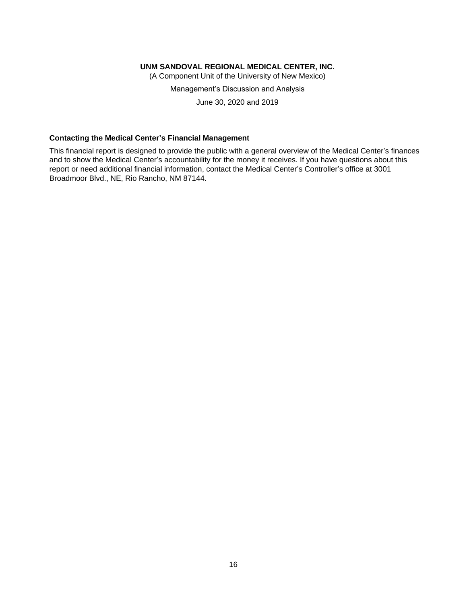(A Component Unit of the University of New Mexico)

Management's Discussion and Analysis

June 30, 2020 and 2019

## **Contacting the Medical Center's Financial Management**

This financial report is designed to provide the public with a general overview of the Medical Center's finances and to show the Medical Center's accountability for the money it receives. If you have questions about this report or need additional financial information, contact the Medical Center's Controller's office at 3001 Broadmoor Blvd., NE, Rio Rancho, NM 87144.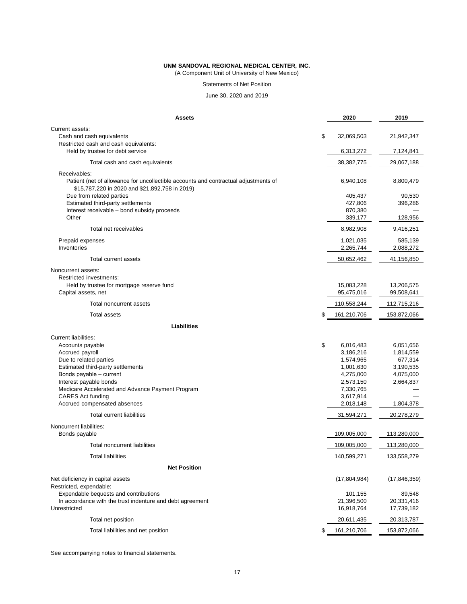(A Component Unit of University of New Mexico)

Statements of Net Position

June 30, 2020 and 2019

| <b>Assets</b>                                                                                                                                         | 2020                          | 2019                     |
|-------------------------------------------------------------------------------------------------------------------------------------------------------|-------------------------------|--------------------------|
| Current assets:<br>Cash and cash equivalents<br>Restricted cash and cash equivalents:                                                                 | \$<br>32,069,503              | 21,942,347               |
| Held by trustee for debt service                                                                                                                      | 6,313,272                     | 7,124,841                |
| Total cash and cash equivalents                                                                                                                       | 38, 382, 775                  | 29,067,188               |
| Receivables:<br>Patient (net of allowance for uncollectible accounts and contractual adjustments of<br>\$15,787,220 in 2020 and \$21,892,758 in 2019) | 6,940,108                     | 8,800,479                |
| Due from related parties<br>Estimated third-party settlements<br>Interest receivable - bond subsidy proceeds                                          | 405,437<br>427,806<br>870,380 | 90,530<br>396,286        |
| Other                                                                                                                                                 | 339,177                       | 128,956                  |
| Total net receivables                                                                                                                                 | 8,982,908                     | 9,416,251                |
| Prepaid expenses<br>Inventories                                                                                                                       | 1,021,035<br>2,265,744        | 585,139<br>2,088,272     |
| Total current assets                                                                                                                                  | 50,652,462                    | 41,156,850               |
| Noncurrent assets:<br><b>Restricted investments:</b>                                                                                                  |                               |                          |
| Held by trustee for mortgage reserve fund<br>Capital assets, net                                                                                      | 15,083,228<br>95,475,016      | 13,206,575<br>99,508,641 |
| <b>Total noncurrent assets</b>                                                                                                                        | 110,558,244                   | 112,715,216              |
| <b>Total assets</b>                                                                                                                                   | \$<br>161,210,706             | 153,872,066              |
| <b>Liabilities</b>                                                                                                                                    |                               |                          |
| <b>Current liabilities:</b>                                                                                                                           |                               |                          |
| Accounts payable                                                                                                                                      | \$<br>6,016,483               | 6,051,656                |
| Accrued payroll                                                                                                                                       | 3,186,216                     | 1,814,559                |
| Due to related parties                                                                                                                                | 1,574,965                     | 677,314                  |
| Estimated third-party settlements                                                                                                                     | 1,001,630                     | 3,190,535                |
| Bonds payable - current                                                                                                                               | 4,275,000                     | 4,075,000                |
| Interest payable bonds                                                                                                                                | 2,573,150                     | 2,664,837                |
| Medicare Accelerated and Advance Payment Program                                                                                                      | 7,330,765                     |                          |
| <b>CARES Act funding</b>                                                                                                                              | 3,617,914                     |                          |
| Accrued compensated absences                                                                                                                          | 2,018,148                     | 1,804,378                |
| <b>Total current liabilities</b>                                                                                                                      | 31,594,271                    | 20,278,279               |
| Noncurrent liabilities:<br>Bonds payable                                                                                                              | 109,005,000                   | 113,280,000              |
| Total noncurrent liabilities                                                                                                                          | 109,005,000                   | 113,280,000              |
| <b>Total liabilities</b>                                                                                                                              | 140,599,271                   | 133,558,279              |
| <b>Net Position</b>                                                                                                                                   |                               |                          |
| Net deficiency in capital assets<br>Restricted, expendable:                                                                                           | (17,804,984)                  | (17, 846, 359)           |
| Expendable bequests and contributions                                                                                                                 | 101,155                       | 89,548                   |
| In accordance with the trust indenture and debt agreement                                                                                             | 21,396,500                    | 20,331,416               |
| Unrestricted                                                                                                                                          | 16,918,764                    | 17,739,182               |
| Total net position                                                                                                                                    | 20,611,435                    | 20,313,787               |
| Total liabilities and net position                                                                                                                    | \$<br>161,210,706             | 153,872,066              |

See accompanying notes to financial statements.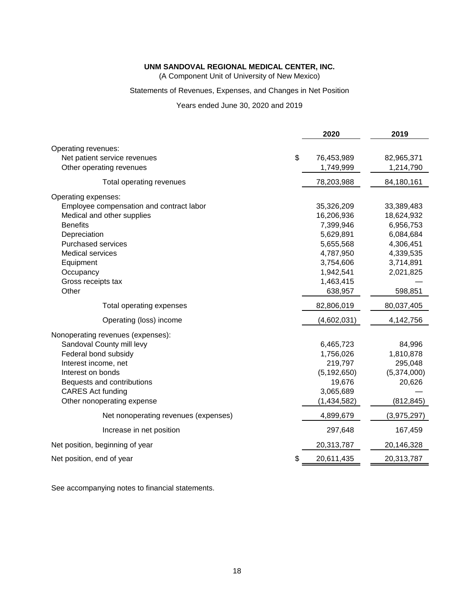(A Component Unit of University of New Mexico)

## Statements of Revenues, Expenses, and Changes in Net Position

Years ended June 30, 2020 and 2019

|                                          | 2020             | 2019        |
|------------------------------------------|------------------|-------------|
| Operating revenues:                      |                  |             |
| Net patient service revenues             | \$<br>76,453,989 | 82,965,371  |
| Other operating revenues                 | 1,749,999        | 1,214,790   |
| Total operating revenues                 | 78,203,988       | 84,180,161  |
| Operating expenses:                      |                  |             |
| Employee compensation and contract labor | 35,326,209       | 33,389,483  |
| Medical and other supplies               | 16,206,936       | 18,624,932  |
| <b>Benefits</b>                          | 7,399,946        | 6,956,753   |
| Depreciation                             | 5,629,891        | 6,084,684   |
| <b>Purchased services</b>                | 5,655,568        | 4,306,451   |
| <b>Medical services</b>                  | 4,787,950        | 4,339,535   |
| Equipment                                | 3,754,606        | 3,714,891   |
| Occupancy                                | 1,942,541        | 2,021,825   |
| Gross receipts tax                       | 1,463,415        |             |
| Other                                    | 638,957          | 598,851     |
| Total operating expenses                 | 82,806,019       | 80,037,405  |
| Operating (loss) income                  | (4,602,031)      | 4,142,756   |
| Nonoperating revenues (expenses):        |                  |             |
| Sandoval County mill levy                | 6,465,723        | 84,996      |
| Federal bond subsidy                     | 1,756,026        | 1,810,878   |
| Interest income, net                     | 219,797          | 295,048     |
| Interest on bonds                        | (5, 192, 650)    | (5,374,000) |
| Bequests and contributions               | 19,676           | 20,626      |
| <b>CARES Act funding</b>                 | 3,065,689        |             |
| Other nonoperating expense               | (1,434,582)      | (812, 845)  |
| Net nonoperating revenues (expenses)     | 4,899,679        | (3,975,297) |
| Increase in net position                 | 297,648          | 167,459     |
| Net position, beginning of year          | 20,313,787       | 20,146,328  |
| Net position, end of year                | \$<br>20,611,435 | 20,313,787  |

See accompanying notes to financial statements.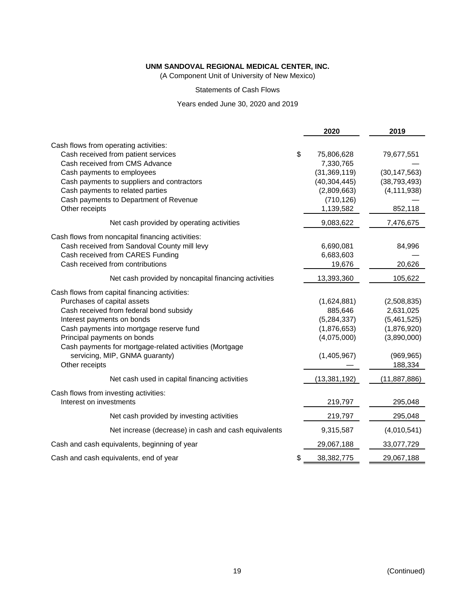(A Component Unit of University of New Mexico)

Statements of Cash Flows

## Years ended June 30, 2020 and 2019

|                                                         | 2020               | 2019           |
|---------------------------------------------------------|--------------------|----------------|
| Cash flows from operating activities:                   |                    |                |
| Cash received from patient services                     | \$<br>75,806,628   | 79,677,551     |
| Cash received from CMS Advance                          | 7,330,765          |                |
| Cash payments to employees                              | (31, 369, 119)     | (30, 147, 563) |
| Cash payments to suppliers and contractors              | (40, 304, 445)     | (38, 793, 493) |
| Cash payments to related parties                        | (2,809,663)        | (4, 111, 938)  |
| Cash payments to Department of Revenue                  | (710, 126)         |                |
| Other receipts                                          | 1,139,582          | 852,118        |
| Net cash provided by operating activities               | 9,083,622          | 7,476,675      |
| Cash flows from noncapital financing activities:        |                    |                |
| Cash received from Sandoval County mill levy            | 6,690,081          | 84,996         |
| Cash received from CARES Funding                        | 6,683,603          |                |
| Cash received from contributions                        | 19,676             | 20,626         |
| Net cash provided by noncapital financing activities    | 13,393,360         | 105,622        |
| Cash flows from capital financing activities:           |                    |                |
| Purchases of capital assets                             | (1,624,881)        | (2,508,835)    |
| Cash received from federal bond subsidy                 | 885,646            | 2,631,025      |
| Interest payments on bonds                              | (5, 284, 337)      | (5,461,525)    |
| Cash payments into mortgage reserve fund                | (1,876,653)        | (1,876,920)    |
| Principal payments on bonds                             | (4,075,000)        | (3,890,000)    |
| Cash payments for mortgage-related activities (Mortgage |                    |                |
| servicing, MIP, GNMA guaranty)                          | (1,405,967)        | (969, 965)     |
| Other receipts                                          |                    | 188,334        |
| Net cash used in capital financing activities           | (13, 381, 192)     | (11, 887, 886) |
| Cash flows from investing activities:                   |                    |                |
| Interest on investments                                 | 219,797            | 295,048        |
| Net cash provided by investing activities               | 219,797            | 295,048        |
| Net increase (decrease) in cash and cash equivalents    | 9,315,587          | (4,010,541)    |
| Cash and cash equivalents, beginning of year            | 29,067,188         | 33,077,729     |
| Cash and cash equivalents, end of year                  | \$<br>38, 382, 775 | 29,067,188     |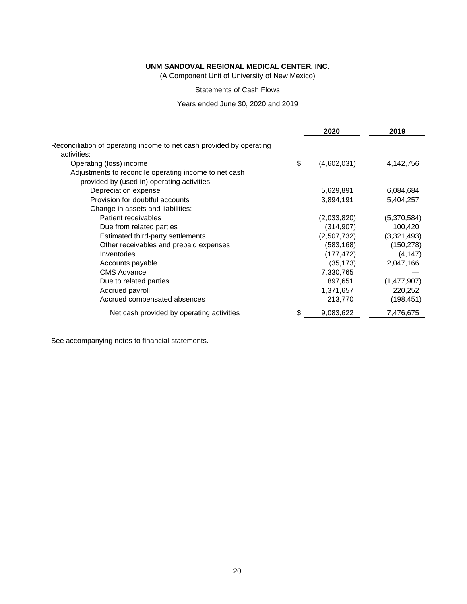(A Component Unit of University of New Mexico)

Statements of Cash Flows

Years ended June 30, 2020 and 2019

|                                                                                     | 2020        | 2019        |
|-------------------------------------------------------------------------------------|-------------|-------------|
| Reconciliation of operating income to net cash provided by operating<br>activities: |             |             |
| \$<br>Operating (loss) income                                                       | (4,602,031) | 4,142,756   |
| Adjustments to reconcile operating income to net cash                               |             |             |
| provided by (used in) operating activities:                                         |             |             |
| Depreciation expense                                                                | 5,629,891   | 6,084,684   |
| Provision for doubtful accounts                                                     | 3,894,191   | 5,404,257   |
| Change in assets and liabilities:                                                   |             |             |
| Patient receivables                                                                 | (2,033,820) | (5,370,584) |
| Due from related parties                                                            | (314, 907)  | 100,420     |
| Estimated third-party settlements                                                   | (2,507,732) | (3,321,493) |
| Other receivables and prepaid expenses                                              | (583, 168)  | (150, 278)  |
| Inventories                                                                         | (177, 472)  | (4, 147)    |
| Accounts payable                                                                    | (35, 173)   | 2,047,166   |
| <b>CMS Advance</b>                                                                  | 7,330,765   |             |
| Due to related parties                                                              | 897,651     | (1,477,907) |
| Accrued payroll                                                                     | 1,371,657   | 220,252     |
| Accrued compensated absences                                                        | 213,770     | (198, 451)  |
| Net cash provided by operating activities<br>\$                                     | 9,083,622   | 7,476,675   |

See accompanying notes to financial statements.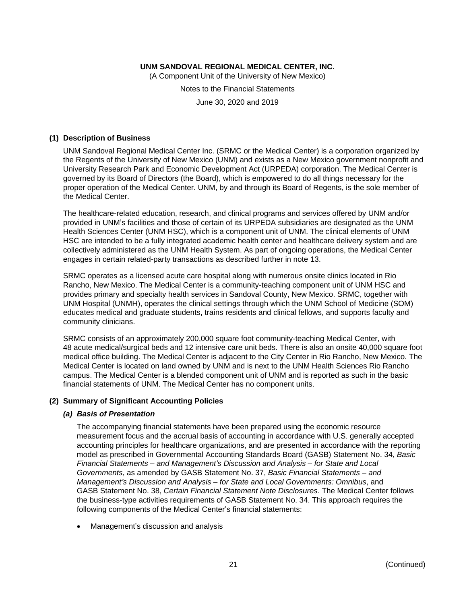(A Component Unit of the University of New Mexico)

Notes to the Financial Statements

June 30, 2020 and 2019

### **(1) Description of Business**

UNM Sandoval Regional Medical Center Inc. (SRMC or the Medical Center) is a corporation organized by the Regents of the University of New Mexico (UNM) and exists as a New Mexico government nonprofit and University Research Park and Economic Development Act (URPEDA) corporation. The Medical Center is governed by its Board of Directors (the Board), which is empowered to do all things necessary for the proper operation of the Medical Center. UNM, by and through its Board of Regents, is the sole member of the Medical Center.

The healthcare-related education, research, and clinical programs and services offered by UNM and/or provided in UNM's facilities and those of certain of its URPEDA subsidiaries are designated as the UNM Health Sciences Center (UNM HSC), which is a component unit of UNM. The clinical elements of UNM HSC are intended to be a fully integrated academic health center and healthcare delivery system and are collectively administered as the UNM Health System. As part of ongoing operations, the Medical Center engages in certain related-party transactions as described further in note 13.

SRMC operates as a licensed acute care hospital along with numerous onsite clinics located in Rio Rancho, New Mexico. The Medical Center is a community-teaching component unit of UNM HSC and provides primary and specialty health services in Sandoval County, New Mexico. SRMC, together with UNM Hospital (UNMH), operates the clinical settings through which the UNM School of Medicine (SOM) educates medical and graduate students, trains residents and clinical fellows, and supports faculty and community clinicians.

SRMC consists of an approximately 200,000 square foot community-teaching Medical Center, with 48 acute medical/surgical beds and 12 intensive care unit beds. There is also an onsite 40,000 square foot medical office building. The Medical Center is adjacent to the City Center in Rio Rancho, New Mexico. The Medical Center is located on land owned by UNM and is next to the UNM Health Sciences Rio Rancho campus. The Medical Center is a blended component unit of UNM and is reported as such in the basic financial statements of UNM. The Medical Center has no component units.

## **(2) Summary of Significant Accounting Policies**

## *(a) Basis of Presentation*

The accompanying financial statements have been prepared using the economic resource measurement focus and the accrual basis of accounting in accordance with U.S. generally accepted accounting principles for healthcare organizations, and are presented in accordance with the reporting model as prescribed in Governmental Accounting Standards Board (GASB) Statement No. 34, *Basic Financial Statements – and Management's Discussion and Analysis – for State and Local Governments*, as amended by GASB Statement No. 37, *Basic Financial Statements – and Management's Discussion and Analysis – for State and Local Governments: Omnibus*, and GASB Statement No. 38, *Certain Financial Statement Note Disclosures*. The Medical Center follows the business-type activities requirements of GASB Statement No. 34. This approach requires the following components of the Medical Center's financial statements:

• Management's discussion and analysis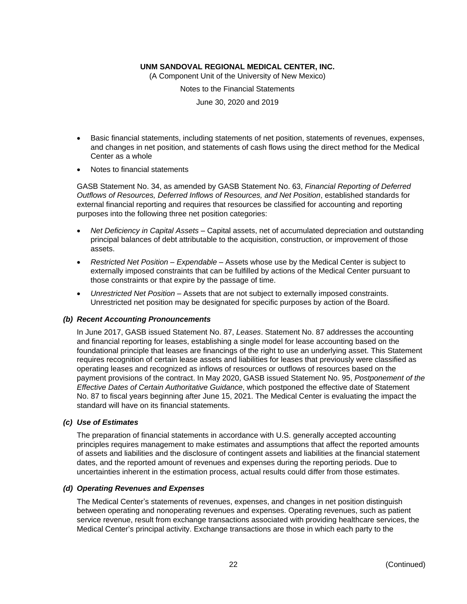(A Component Unit of the University of New Mexico)

Notes to the Financial Statements

June 30, 2020 and 2019

- Basic financial statements, including statements of net position, statements of revenues, expenses, and changes in net position, and statements of cash flows using the direct method for the Medical Center as a whole
- Notes to financial statements

GASB Statement No. 34, as amended by GASB Statement No. 63, *Financial Reporting of Deferred Outflows of Resources, Deferred Inflows of Resources, and Net Position*, established standards for external financial reporting and requires that resources be classified for accounting and reporting purposes into the following three net position categories:

- *Net Deficiency in Capital Assets* Capital assets, net of accumulated depreciation and outstanding principal balances of debt attributable to the acquisition, construction, or improvement of those assets.
- *Restricted Net Position – Expendable* Assets whose use by the Medical Center is subject to externally imposed constraints that can be fulfilled by actions of the Medical Center pursuant to those constraints or that expire by the passage of time.
- *Unrestricted Net Position* Assets that are not subject to externally imposed constraints. Unrestricted net position may be designated for specific purposes by action of the Board.

#### *(b) Recent Accounting Pronouncements*

In June 2017, GASB issued Statement No. 87, *Leases*. Statement No. 87 addresses the accounting and financial reporting for leases, establishing a single model for lease accounting based on the foundational principle that leases are financings of the right to use an underlying asset. This Statement requires recognition of certain lease assets and liabilities for leases that previously were classified as operating leases and recognized as inflows of resources or outflows of resources based on the payment provisions of the contract. In May 2020, GASB issued Statement No. 95, *Postponement of the Effective Dates of Certain Authoritative Guidance*, which postponed the effective date of Statement No. 87 to fiscal years beginning after June 15, 2021. The Medical Center is evaluating the impact the standard will have on its financial statements.

#### *(c) Use of Estimates*

The preparation of financial statements in accordance with U.S. generally accepted accounting principles requires management to make estimates and assumptions that affect the reported amounts of assets and liabilities and the disclosure of contingent assets and liabilities at the financial statement dates, and the reported amount of revenues and expenses during the reporting periods. Due to uncertainties inherent in the estimation process, actual results could differ from those estimates.

#### *(d) Operating Revenues and Expenses*

The Medical Center's statements of revenues, expenses, and changes in net position distinguish between operating and nonoperating revenues and expenses. Operating revenues, such as patient service revenue, result from exchange transactions associated with providing healthcare services, the Medical Center's principal activity. Exchange transactions are those in which each party to the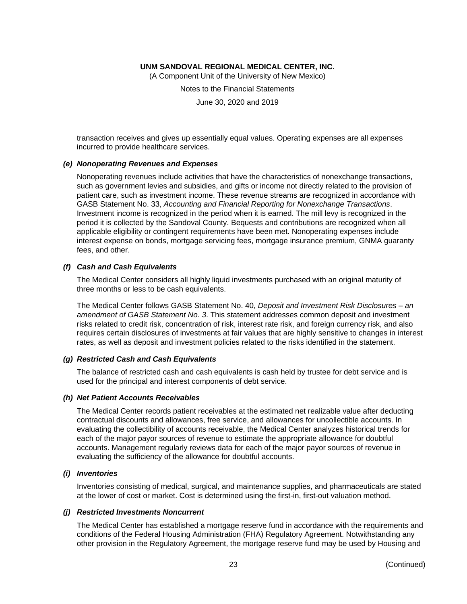(A Component Unit of the University of New Mexico)

Notes to the Financial Statements

June 30, 2020 and 2019

transaction receives and gives up essentially equal values. Operating expenses are all expenses incurred to provide healthcare services.

#### *(e) Nonoperating Revenues and Expenses*

Nonoperating revenues include activities that have the characteristics of nonexchange transactions, such as government levies and subsidies, and gifts or income not directly related to the provision of patient care, such as investment income. These revenue streams are recognized in accordance with GASB Statement No. 33, *Accounting and Financial Reporting for Nonexchange Transactions*. Investment income is recognized in the period when it is earned. The mill levy is recognized in the period it is collected by the Sandoval County. Bequests and contributions are recognized when all applicable eligibility or contingent requirements have been met. Nonoperating expenses include interest expense on bonds, mortgage servicing fees, mortgage insurance premium, GNMA guaranty fees, and other.

#### *(f) Cash and Cash Equivalents*

The Medical Center considers all highly liquid investments purchased with an original maturity of three months or less to be cash equivalents.

The Medical Center follows GASB Statement No. 40, *Deposit and Investment Risk Disclosures – an amendment of GASB Statement No. 3*. This statement addresses common deposit and investment risks related to credit risk, concentration of risk, interest rate risk, and foreign currency risk, and also requires certain disclosures of investments at fair values that are highly sensitive to changes in interest rates, as well as deposit and investment policies related to the risks identified in the statement.

#### *(g) Restricted Cash and Cash Equivalents*

The balance of restricted cash and cash equivalents is cash held by trustee for debt service and is used for the principal and interest components of debt service.

#### *(h) Net Patient Accounts Receivables*

The Medical Center records patient receivables at the estimated net realizable value after deducting contractual discounts and allowances, free service, and allowances for uncollectible accounts. In evaluating the collectibility of accounts receivable, the Medical Center analyzes historical trends for each of the major payor sources of revenue to estimate the appropriate allowance for doubtful accounts. Management regularly reviews data for each of the major payor sources of revenue in evaluating the sufficiency of the allowance for doubtful accounts.

#### *(i) Inventories*

Inventories consisting of medical, surgical, and maintenance supplies, and pharmaceuticals are stated at the lower of cost or market. Cost is determined using the first-in, first-out valuation method.

#### *(j) Restricted Investments Noncurrent*

The Medical Center has established a mortgage reserve fund in accordance with the requirements and conditions of the Federal Housing Administration (FHA) Regulatory Agreement. Notwithstanding any other provision in the Regulatory Agreement, the mortgage reserve fund may be used by Housing and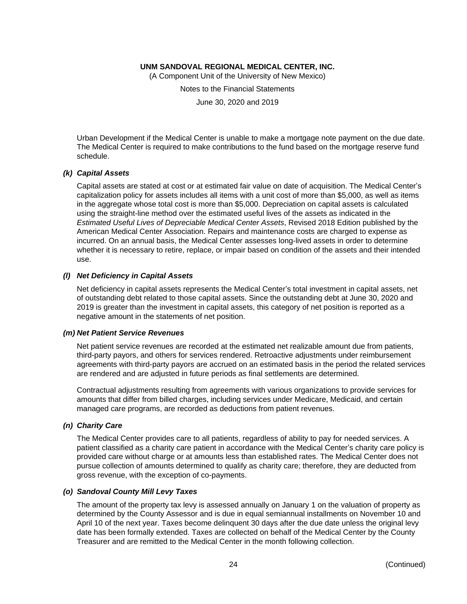(A Component Unit of the University of New Mexico)

Notes to the Financial Statements

June 30, 2020 and 2019

Urban Development if the Medical Center is unable to make a mortgage note payment on the due date. The Medical Center is required to make contributions to the fund based on the mortgage reserve fund schedule.

#### *(k) Capital Assets*

Capital assets are stated at cost or at estimated fair value on date of acquisition. The Medical Center's capitalization policy for assets includes all items with a unit cost of more than \$5,000, as well as items in the aggregate whose total cost is more than \$5,000. Depreciation on capital assets is calculated using the straight-line method over the estimated useful lives of the assets as indicated in the *Estimated Useful Lives of Depreciable Medical Center Assets*, Revised 2018 Edition published by the American Medical Center Association. Repairs and maintenance costs are charged to expense as incurred. On an annual basis, the Medical Center assesses long-lived assets in order to determine whether it is necessary to retire, replace, or impair based on condition of the assets and their intended use.

#### *(l) Net Deficiency in Capital Assets*

Net deficiency in capital assets represents the Medical Center's total investment in capital assets, net of outstanding debt related to those capital assets. Since the outstanding debt at June 30, 2020 and 2019 is greater than the investment in capital assets, this category of net position is reported as a negative amount in the statements of net position.

#### *(m) Net Patient Service Revenues*

Net patient service revenues are recorded at the estimated net realizable amount due from patients, third-party payors, and others for services rendered. Retroactive adjustments under reimbursement agreements with third-party payors are accrued on an estimated basis in the period the related services are rendered and are adjusted in future periods as final settlements are determined.

Contractual adjustments resulting from agreements with various organizations to provide services for amounts that differ from billed charges, including services under Medicare, Medicaid, and certain managed care programs, are recorded as deductions from patient revenues.

#### *(n) Charity Care*

The Medical Center provides care to all patients, regardless of ability to pay for needed services. A patient classified as a charity care patient in accordance with the Medical Center's charity care policy is provided care without charge or at amounts less than established rates. The Medical Center does not pursue collection of amounts determined to qualify as charity care; therefore, they are deducted from gross revenue, with the exception of co-payments.

#### *(o) Sandoval County Mill Levy Taxes*

The amount of the property tax levy is assessed annually on January 1 on the valuation of property as determined by the County Assessor and is due in equal semiannual installments on November 10 and April 10 of the next year. Taxes become delinquent 30 days after the due date unless the original levy date has been formally extended. Taxes are collected on behalf of the Medical Center by the County Treasurer and are remitted to the Medical Center in the month following collection.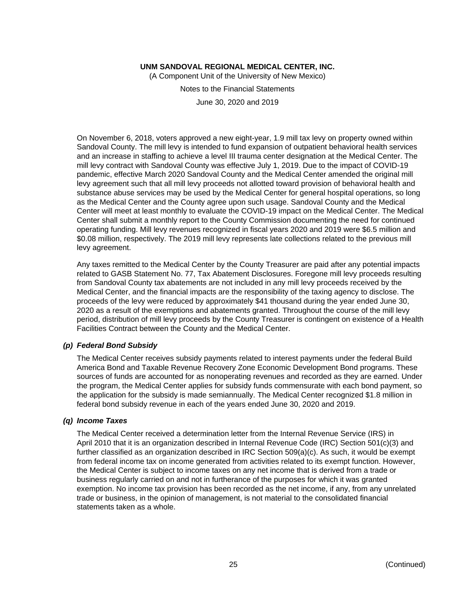(A Component Unit of the University of New Mexico)

Notes to the Financial Statements

June 30, 2020 and 2019

On November 6, 2018, voters approved a new eight-year, 1.9 mill tax levy on property owned within Sandoval County. The mill levy is intended to fund expansion of outpatient behavioral health services and an increase in staffing to achieve a level III trauma center designation at the Medical Center. The mill levy contract with Sandoval County was effective July 1, 2019. Due to the impact of COVID-19 pandemic, effective March 2020 Sandoval County and the Medical Center amended the original mill levy agreement such that all mill levy proceeds not allotted toward provision of behavioral health and substance abuse services may be used by the Medical Center for general hospital operations, so long as the Medical Center and the County agree upon such usage. Sandoval County and the Medical Center will meet at least monthly to evaluate the COVID-19 impact on the Medical Center. The Medical Center shall submit a monthly report to the County Commission documenting the need for continued operating funding. Mill levy revenues recognized in fiscal years 2020 and 2019 were \$6.5 million and \$0.08 million, respectively. The 2019 mill levy represents late collections related to the previous mill levy agreement.

Any taxes remitted to the Medical Center by the County Treasurer are paid after any potential impacts related to GASB Statement No. 77, Tax Abatement Disclosures. Foregone mill levy proceeds resulting from Sandoval County tax abatements are not included in any mill levy proceeds received by the Medical Center, and the financial impacts are the responsibility of the taxing agency to disclose. The proceeds of the levy were reduced by approximately \$41 thousand during the year ended June 30, 2020 as a result of the exemptions and abatements granted. Throughout the course of the mill levy period, distribution of mill levy proceeds by the County Treasurer is contingent on existence of a Health Facilities Contract between the County and the Medical Center.

#### *(p) Federal Bond Subsidy*

The Medical Center receives subsidy payments related to interest payments under the federal Build America Bond and Taxable Revenue Recovery Zone Economic Development Bond programs. These sources of funds are accounted for as nonoperating revenues and recorded as they are earned. Under the program, the Medical Center applies for subsidy funds commensurate with each bond payment, so the application for the subsidy is made semiannually. The Medical Center recognized \$1.8 million in federal bond subsidy revenue in each of the years ended June 30, 2020 and 2019.

#### *(q) Income Taxes*

The Medical Center received a determination letter from the Internal Revenue Service (IRS) in April 2010 that it is an organization described in Internal Revenue Code (IRC) Section 501(c)(3) and further classified as an organization described in IRC Section 509(a)(c). As such, it would be exempt from federal income tax on income generated from activities related to its exempt function. However, the Medical Center is subject to income taxes on any net income that is derived from a trade or business regularly carried on and not in furtherance of the purposes for which it was granted exemption. No income tax provision has been recorded as the net income, if any, from any unrelated trade or business, in the opinion of management, is not material to the consolidated financial statements taken as a whole.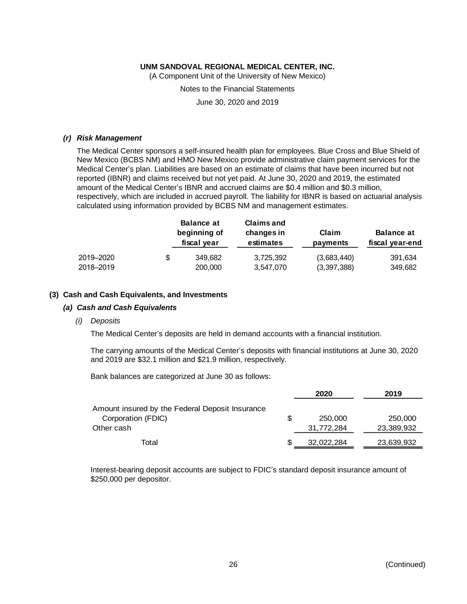(A Component Unit of the University of New Mexico)

Notes to the Financial Statements

June 30, 2020 and 2019

#### *(r) Risk Management*

The Medical Center sponsors a self-insured health plan for employees. Blue Cross and Blue Shield of New Mexico (BCBS NM) and HMO New Mexico provide administrative claim payment services for the Medical Center's plan. Liabilities are based on an estimate of claims that have been incurred but not reported (IBNR) and claims received but not yet paid. At June 30, 2020 and 2019, the estimated amount of the Medical Center's IBNR and accrued claims are \$0.4 million and \$0.3 million, respectively, which are included in accrued payroll. The liability for IBNR is based on actuarial analysis calculated using information provided by BCBS NM and management estimates.

|           |   | <b>Balance at</b><br>beginning of<br>fiscal year | <b>Claims and</b><br>changes in<br>estimates | Claim<br>payments | <b>Balance at</b><br>fiscal year-end |  |
|-----------|---|--------------------------------------------------|----------------------------------------------|-------------------|--------------------------------------|--|
| 2019-2020 | S | 349,682                                          | 3,725,392                                    | (3,683,440)       | 391,634                              |  |
| 2018-2019 |   | 200,000                                          | 3.547.070                                    | (3,397,388)       | 349,682                              |  |

#### **(3) Cash and Cash Equivalents, and Investments**

#### *(a) Cash and Cash Equivalents*

*(i) Deposits*

The Medical Center's deposits are held in demand accounts with a financial institution.

The carrying amounts of the Medical Center's deposits with financial institutions at June 30, 2020 and 2019 are \$32.1 million and \$21.9 million, respectively.

Bank balances are categorized at June 30 as follows:

|                                                 | 2020 |            | 2019       |
|-------------------------------------------------|------|------------|------------|
| Amount insured by the Federal Deposit Insurance |      |            |            |
| Corporation (FDIC)                              | S    | 250,000    | 250,000    |
| Other cash                                      |      | 31,772,284 | 23,389,932 |
| Total                                           |      | 32,022,284 | 23,639,932 |

Interest-bearing deposit accounts are subject to FDIC's standard deposit insurance amount of \$250,000 per depositor.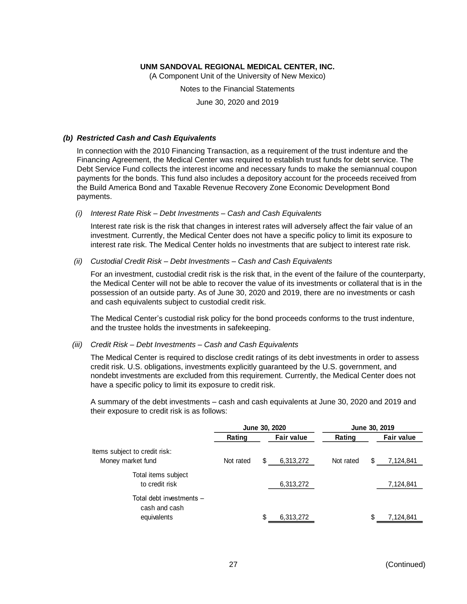(A Component Unit of the University of New Mexico)

Notes to the Financial Statements

June 30, 2020 and 2019

#### *(b) Restricted Cash and Cash Equivalents*

In connection with the 2010 Financing Transaction, as a requirement of the trust indenture and the Financing Agreement, the Medical Center was required to establish trust funds for debt service. The Debt Service Fund collects the interest income and necessary funds to make the semiannual coupon payments for the bonds. This fund also includes a depository account for the proceeds received from the Build America Bond and Taxable Revenue Recovery Zone Economic Development Bond payments.

*(i) Interest Rate Risk – Debt Investments – Cash and Cash Equivalents*

Interest rate risk is the risk that changes in interest rates will adversely affect the fair value of an investment. Currently, the Medical Center does not have a specific policy to limit its exposure to interest rate risk. The Medical Center holds no investments that are subject to interest rate risk.

#### *(ii) Custodial Credit Risk – Debt Investments – Cash and Cash Equivalents*

For an investment, custodial credit risk is the risk that, in the event of the failure of the counterparty, the Medical Center will not be able to recover the value of its investments or collateral that is in the possession of an outside party. As of June 30, 2020 and 2019, there are no investments or cash and cash equivalents subject to custodial credit risk.

The Medical Center's custodial risk policy for the bond proceeds conforms to the trust indenture, and the trustee holds the investments in safekeeping.

#### *(iii) Credit Risk – Debt Investments – Cash and Cash Equivalents*

The Medical Center is required to disclose credit ratings of its debt investments in order to assess credit risk. U.S. obligations, investments explicitly guaranteed by the U.S. government, and nondebt investments are excluded from this requirement. Currently, the Medical Center does not have a specific policy to limit its exposure to credit risk.

A summary of the debt investments – cash and cash equivalents at June 30, 2020 and 2019 and their exposure to credit risk is as follows:

|                                           | June 30, 2020 |    | June 30, 2019     |           |  |                   |
|-------------------------------------------|---------------|----|-------------------|-----------|--|-------------------|
|                                           | Rating        |    | <b>Fair value</b> | Rating    |  | <b>Fair value</b> |
| ltems subject to credit risk:             |               |    |                   |           |  |                   |
| Money market fund                         | Not rated     | \$ | 6,313,272         | Not rated |  | 7,124,841         |
| Total items subject<br>to credit risk     |               |    | 6,313,272         |           |  | 7,124,841         |
| Total debt investments -<br>cash and cash |               |    |                   |           |  |                   |
| equivalents                               |               | \$ | 6,313,272         |           |  | 7,124,841         |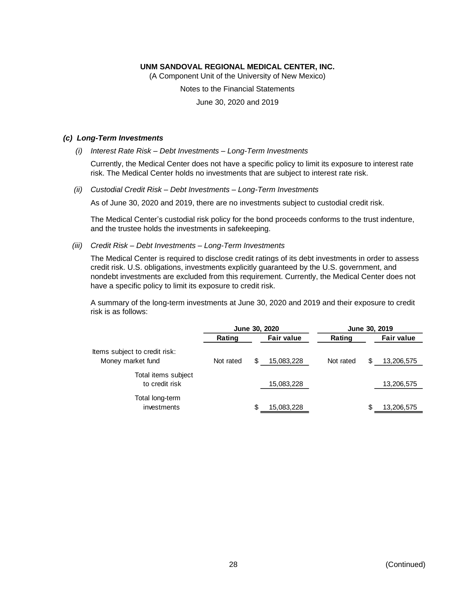(A Component Unit of the University of New Mexico)

Notes to the Financial Statements

June 30, 2020 and 2019

#### *(c) Long-Term Investments*

*(i) Interest Rate Risk – Debt Investments – Long-Term Investments*

Currently, the Medical Center does not have a specific policy to limit its exposure to interest rate risk. The Medical Center holds no investments that are subject to interest rate risk.

*(ii) Custodial Credit Risk – Debt Investments – Long-Term Investments*

As of June 30, 2020 and 2019, there are no investments subject to custodial credit risk.

The Medical Center's custodial risk policy for the bond proceeds conforms to the trust indenture, and the trustee holds the investments in safekeeping.

*(iii) Credit Risk – Debt Investments – Long-Term Investments*

The Medical Center is required to disclose credit ratings of its debt investments in order to assess credit risk. U.S. obligations, investments explicitly guaranteed by the U.S. government, and nondebt investments are excluded from this requirement. Currently, the Medical Center does not have a specific policy to limit its exposure to credit risk.

A summary of the long-term investments at June 30, 2020 and 2019 and their exposure to credit risk is as follows:

|                                       | June 30, 2020 |  |                   | June 30, 2019 |   |                   |
|---------------------------------------|---------------|--|-------------------|---------------|---|-------------------|
|                                       | Rating        |  | <b>Fair value</b> | Rating        |   | <b>Fair value</b> |
| Items subject to credit risk:         |               |  |                   |               |   |                   |
| Money market fund                     | Not rated     |  | 15,083,228        | Not rated     | S | 13,206,575        |
| Total items subject<br>to credit risk |               |  | 15,083,228        |               |   | 13,206,575        |
| Total long-term<br>investments        |               |  | 15,083,228        |               | S | 13,206,575        |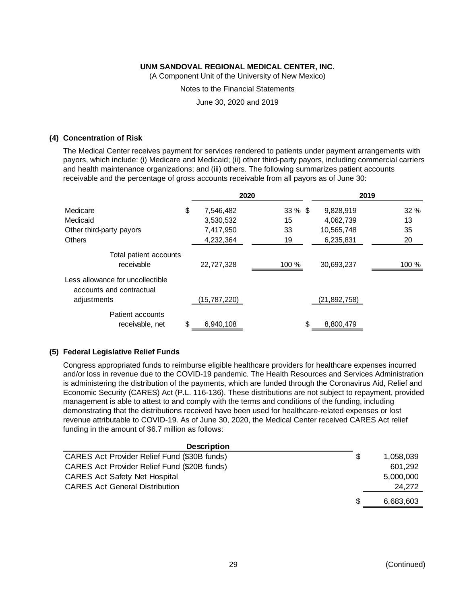(A Component Unit of the University of New Mexico)

Notes to the Financial Statements

June 30, 2020 and 2019

#### **(4) Concentration of Risk**

The Medical Center receives payment for services rendered to patients under payment arrangements with payors, which include: (i) Medicare and Medicaid; (ii) other third-party payors, including commercial carriers and health maintenance organizations; and (iii) others. The following summarizes patient accounts receivable and the percentage of gross accounts receivable from all payors as of June 30:

|                                                              | 2020            |            |                | 2019  |
|--------------------------------------------------------------|-----------------|------------|----------------|-------|
| Medicare                                                     | \$<br>7,546,482 | $33 \%$ \$ | 9,828,919      | 32%   |
| Medicaid                                                     | 3,530,532       | 15         | 4,062,739      | 13    |
| Other third-party payors                                     | 7,417,950       | 33         | 10,565,748     | 35    |
| <b>Others</b>                                                | 4,232,364       | 19         | 6,235,831      | 20    |
| Total patient accounts<br>receivable                         | 22,727,328      | 100 %      | 30,693,237     | 100 % |
| Less allowance for uncollectible<br>accounts and contractual |                 |            |                |       |
| adjustments                                                  | (15,787,220)    |            | (21, 892, 758) |       |
| Patient accounts<br>receivable, net                          | \$<br>6,940,108 | \$         | 8,800,479      |       |

#### **(5) Federal Legislative Relief Funds**

Congress appropriated funds to reimburse eligible healthcare providers for healthcare expenses incurred and/or loss in revenue due to the COVID-19 pandemic. The Health Resources and Services Administration is administering the distribution of the payments, which are funded through the Coronavirus Aid, Relief and Economic Security (CARES) Act (P.L. 116-136). These distributions are not subject to repayment, provided management is able to attest to and comply with the terms and conditions of the funding, including demonstrating that the distributions received have been used for healthcare-related expenses or lost revenue attributable to COVID-19. As of June 30, 2020, the Medical Center received CARES Act relief funding in the amount of \$6.7 million as follows:

| <b>Description</b>                           |     |           |
|----------------------------------------------|-----|-----------|
| CARES Act Provider Relief Fund (\$30B funds) | \$  | 1,058,039 |
| CARES Act Provider Relief Fund (\$20B funds) |     | 601.292   |
| <b>CARES Act Safety Net Hospital</b>         |     | 5,000,000 |
| <b>CARES Act General Distribution</b>        |     | 24.272    |
|                                              | \$. | 6.683,603 |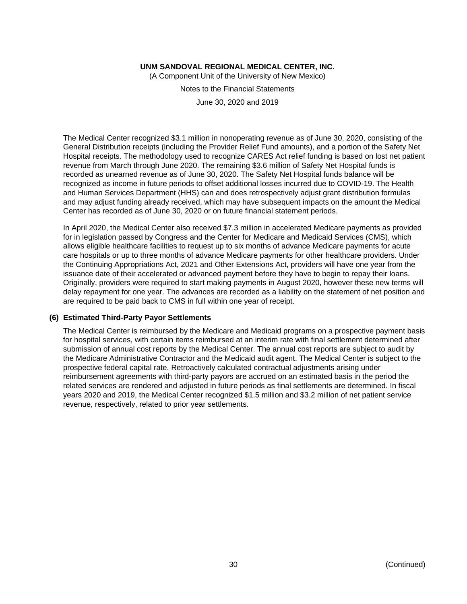(A Component Unit of the University of New Mexico)

Notes to the Financial Statements

June 30, 2020 and 2019

The Medical Center recognized \$3.1 million in nonoperating revenue as of June 30, 2020, consisting of the General Distribution receipts (including the Provider Relief Fund amounts), and a portion of the Safety Net Hospital receipts. The methodology used to recognize CARES Act relief funding is based on lost net patient revenue from March through June 2020. The remaining \$3.6 million of Safety Net Hospital funds is recorded as unearned revenue as of June 30, 2020. The Safety Net Hospital funds balance will be recognized as income in future periods to offset additional losses incurred due to COVID-19. The Health and Human Services Department (HHS) can and does retrospectively adjust grant distribution formulas and may adjust funding already received, which may have subsequent impacts on the amount the Medical Center has recorded as of June 30, 2020 or on future financial statement periods.

In April 2020, the Medical Center also received \$7.3 million in accelerated Medicare payments as provided for in legislation passed by Congress and the Center for Medicare and Medicaid Services (CMS), which allows eligible healthcare facilities to request up to six months of advance Medicare payments for acute care hospitals or up to three months of advance Medicare payments for other healthcare providers. Under the Continuing Appropriations Act, 2021 and Other Extensions Act, providers will have one year from the issuance date of their accelerated or advanced payment before they have to begin to repay their loans. Originally, providers were required to start making payments in August 2020, however these new terms will delay repayment for one year. The advances are recorded as a liability on the statement of net position and are required to be paid back to CMS in full within one year of receipt.

#### **(6) Estimated Third-Party Payor Settlements**

The Medical Center is reimbursed by the Medicare and Medicaid programs on a prospective payment basis for hospital services, with certain items reimbursed at an interim rate with final settlement determined after submission of annual cost reports by the Medical Center. The annual cost reports are subject to audit by the Medicare Administrative Contractor and the Medicaid audit agent. The Medical Center is subject to the prospective federal capital rate. Retroactively calculated contractual adjustments arising under reimbursement agreements with third-party payors are accrued on an estimated basis in the period the related services are rendered and adjusted in future periods as final settlements are determined. In fiscal years 2020 and 2019, the Medical Center recognized \$1.5 million and \$3.2 million of net patient service revenue, respectively, related to prior year settlements.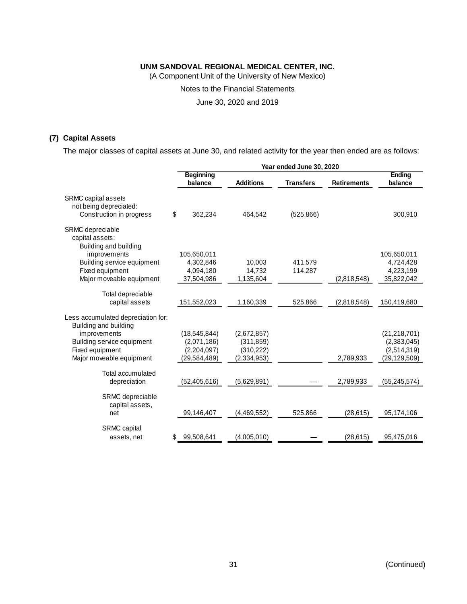(A Component Unit of the University of New Mexico)

Notes to the Financial Statements

June 30, 2020 and 2019

## **(7) Capital Assets**

The major classes of capital assets at June 30, and related activity for the year then ended are as follows:

|                                                                                  |    | Year ended June 30, 2020    |                  |                  |                    |                          |  |
|----------------------------------------------------------------------------------|----|-----------------------------|------------------|------------------|--------------------|--------------------------|--|
|                                                                                  |    | <b>Beginning</b><br>balance | <b>Additions</b> | <b>Transfers</b> | <b>Retirements</b> | <b>Ending</b><br>balance |  |
| <b>SRMC</b> capital assets<br>not being depreciated:<br>Construction in progress | \$ | 362,234                     | 464,542          | (525, 866)       |                    | 300,910                  |  |
| SRMC depreciable<br>capital assets:<br>Building and building                     |    |                             |                  |                  |                    |                          |  |
| improvements                                                                     |    | 105,650,011                 |                  |                  |                    | 105,650,011              |  |
| Building service equipment                                                       |    | 4,302,846                   | 10,003           | 411,579          |                    | 4,724,428                |  |
| Fixed equipment                                                                  |    | 4,094,180                   | 14,732           | 114,287          |                    | 4,223,199                |  |
| Major moveable equipment                                                         |    | 37,504,986                  | 1,135,604        |                  | (2,818,548)        | 35,822,042               |  |
| Total depreciable<br>capital assets                                              |    | 151,552,023                 | 1,160,339        | 525,866          | (2,818,548)        | 150,419,680              |  |
| Less accumulated depreciation for:<br>Building and building                      |    |                             |                  |                  |                    |                          |  |
| improvements                                                                     |    | (18, 545, 844)              | (2,672,857)      |                  |                    | (21, 218, 701)           |  |
| Building service equipment                                                       |    | (2,071,186)                 | (311, 859)       |                  |                    | (2,383,045)              |  |
| Fixed equipment                                                                  |    | (2,204,097)                 | (310, 222)       |                  |                    | (2,514,319)              |  |
| Major moveable equipment                                                         |    | (29,584,489)                | (2, 334, 953)    |                  | 2,789,933          | (29, 129, 509)           |  |
| Total accumulated                                                                |    |                             |                  |                  |                    |                          |  |
| depreciation                                                                     |    | (52, 405, 616)              | (5,629,891)      |                  | 2,789,933          | (55, 245, 574)           |  |
| SRMC depreciable<br>capital assets,<br>net                                       |    | 99,146,407                  | (4,469,552)      | 525,866          | (28, 615)          | 95,174,106               |  |
| SRMC capital<br>assets, net                                                      | S  | 99,508,641                  | (4,005,010)      |                  | (28, 615)          | 95,475,016               |  |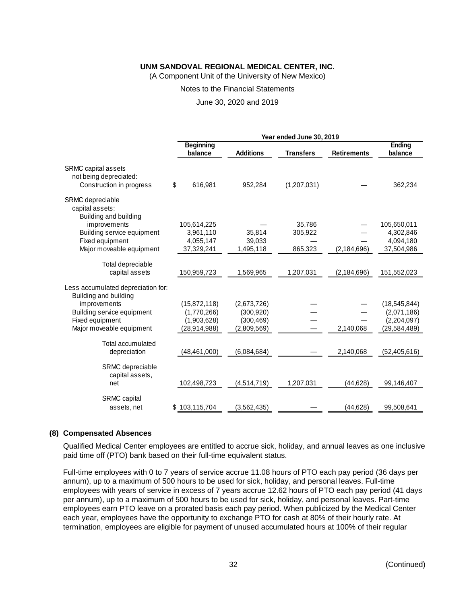(A Component Unit of the University of New Mexico)

#### Notes to the Financial Statements

June 30, 2020 and 2019

|                                                                           |                             | Year ended June 30, 2019 |                  |                    |                   |  |  |
|---------------------------------------------------------------------------|-----------------------------|--------------------------|------------------|--------------------|-------------------|--|--|
|                                                                           | <b>Beginning</b><br>balance | <b>Additions</b>         | <b>Transfers</b> | <b>Retirements</b> | Ending<br>balance |  |  |
|                                                                           |                             |                          |                  |                    |                   |  |  |
| SRMC capital assets<br>not being depreciated:<br>Construction in progress | \$<br>616,981               | 952,284                  | (1,207,031)      |                    | 362,234           |  |  |
| SRMC depreciable<br>capital assets:<br>Building and building              |                             |                          |                  |                    |                   |  |  |
| improvements                                                              | 105,614,225                 |                          | 35,786           |                    | 105,650,011       |  |  |
| Building service equipment                                                | 3,961,110                   | 35,814                   | 305,922          |                    | 4,302,846         |  |  |
| Fixed equipment                                                           | 4,055,147                   | 39,033                   |                  |                    | 4,094,180         |  |  |
| Major moveable equipment                                                  | 37,329,241                  | 1,495,118                | 865,323          | (2, 184, 696)      | 37,504,986        |  |  |
| Total depreciable                                                         |                             |                          |                  |                    |                   |  |  |
| capital assets                                                            | 150,959,723                 | 1,569,965                | 1,207,031        | (2, 184, 696)      | 151,552,023       |  |  |
| Less accumulated depreciation for:<br>Building and building               |                             |                          |                  |                    |                   |  |  |
| improvements                                                              | (15,872,118)                | (2,673,726)              |                  |                    | (18, 545, 844)    |  |  |
| Building service equipment                                                | (1,770,266)                 | (300, 920)               |                  |                    | (2,071,186)       |  |  |
| Fixed equipment                                                           | (1,903,628)                 | (300, 469)               |                  |                    | (2,204,097)       |  |  |
| Major moveable equipment                                                  | (28,914,988)                | (2,809,569)              |                  | 2,140,068          | (29, 584, 489)    |  |  |
| Total accumulated<br>depreciation                                         | (48, 461, 000)              | (6,084,684)              |                  | 2,140,068          | (52, 405, 616)    |  |  |
|                                                                           |                             |                          |                  |                    |                   |  |  |
| SRMC depreciable<br>capital assets,<br>net                                | 102,498,723                 | (4,514,719)              | 1,207,031        | (44, 628)          | 99,146,407        |  |  |
| <b>SRMC</b> capital<br>assets, net                                        | \$103,115,704               | (3, 562, 435)            |                  | (44, 628)          | 99,508,641        |  |  |

#### **(8) Compensated Absences**

Qualified Medical Center employees are entitled to accrue sick, holiday, and annual leaves as one inclusive paid time off (PTO) bank based on their full-time equivalent status.

Full-time employees with 0 to 7 years of service accrue 11.08 hours of PTO each pay period (36 days per annum), up to a maximum of 500 hours to be used for sick, holiday, and personal leaves. Full-time employees with years of service in excess of 7 years accrue 12.62 hours of PTO each pay period (41 days per annum), up to a maximum of 500 hours to be used for sick, holiday, and personal leaves. Part-time employees earn PTO leave on a prorated basis each pay period. When publicized by the Medical Center each year, employees have the opportunity to exchange PTO for cash at 80% of their hourly rate. At termination, employees are eligible for payment of unused accumulated hours at 100% of their regular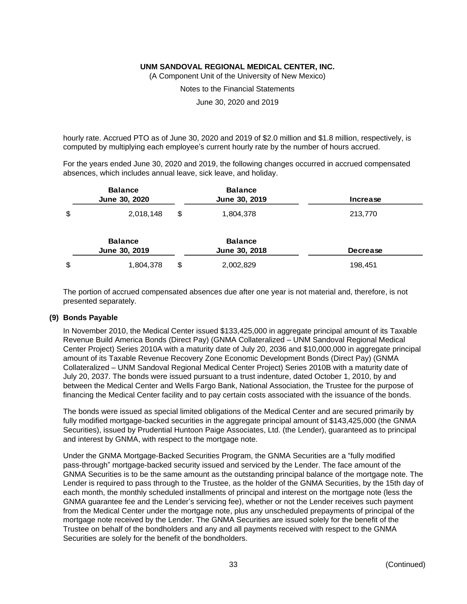(A Component Unit of the University of New Mexico)

Notes to the Financial Statements

June 30, 2020 and 2019

hourly rate. Accrued PTO as of June 30, 2020 and 2019 of \$2.0 million and \$1.8 million, respectively, is computed by multiplying each employee's current hourly rate by the number of hours accrued.

For the years ended June 30, 2020 and 2019, the following changes occurred in accrued compensated absences, which includes annual leave, sick leave, and holiday.

| <b>Balance</b><br>June 30, 2020 | <b>Balance</b><br>June 30, 2019 | <b>Increase</b> |
|---------------------------------|---------------------------------|-----------------|
| \$<br>2,018,148                 | \$<br>1,804,378                 | 213,770         |
| <b>Balance</b><br>June 30, 2019 | <b>Balance</b><br>June 30, 2018 | <b>Decrease</b> |
| \$<br>1,804,378                 | \$<br>2,002,829                 | 198,451         |

The portion of accrued compensated absences due after one year is not material and, therefore, is not presented separately.

#### **(9) Bonds Payable**

In November 2010, the Medical Center issued \$133,425,000 in aggregate principal amount of its Taxable Revenue Build America Bonds (Direct Pay) (GNMA Collateralized – UNM Sandoval Regional Medical Center Project) Series 2010A with a maturity date of July 20, 2036 and \$10,000,000 in aggregate principal amount of its Taxable Revenue Recovery Zone Economic Development Bonds (Direct Pay) (GNMA Collateralized – UNM Sandoval Regional Medical Center Project) Series 2010B with a maturity date of July 20, 2037. The bonds were issued pursuant to a trust indenture, dated October 1, 2010, by and between the Medical Center and Wells Fargo Bank, National Association, the Trustee for the purpose of financing the Medical Center facility and to pay certain costs associated with the issuance of the bonds.

The bonds were issued as special limited obligations of the Medical Center and are secured primarily by fully modified mortgage-backed securities in the aggregate principal amount of \$143,425,000 (the GNMA Securities), issued by Prudential Huntoon Paige Associates, Ltd. (the Lender), guaranteed as to principal and interest by GNMA, with respect to the mortgage note.

Under the GNMA Mortgage-Backed Securities Program, the GNMA Securities are a "fully modified pass-through" mortgage-backed security issued and serviced by the Lender. The face amount of the GNMA Securities is to be the same amount as the outstanding principal balance of the mortgage note. The Lender is required to pass through to the Trustee, as the holder of the GNMA Securities, by the 15th day of each month, the monthly scheduled installments of principal and interest on the mortgage note (less the GNMA guarantee fee and the Lender's servicing fee), whether or not the Lender receives such payment from the Medical Center under the mortgage note, plus any unscheduled prepayments of principal of the mortgage note received by the Lender. The GNMA Securities are issued solely for the benefit of the Trustee on behalf of the bondholders and any and all payments received with respect to the GNMA Securities are solely for the benefit of the bondholders.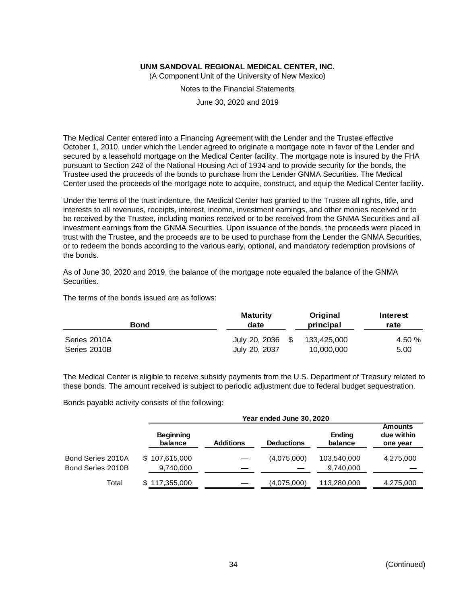(A Component Unit of the University of New Mexico)

Notes to the Financial Statements

June 30, 2020 and 2019

The Medical Center entered into a Financing Agreement with the Lender and the Trustee effective October 1, 2010, under which the Lender agreed to originate a mortgage note in favor of the Lender and secured by a leasehold mortgage on the Medical Center facility. The mortgage note is insured by the FHA pursuant to Section 242 of the National Housing Act of 1934 and to provide security for the bonds, the Trustee used the proceeds of the bonds to purchase from the Lender GNMA Securities. The Medical Center used the proceeds of the mortgage note to acquire, construct, and equip the Medical Center facility.

Under the terms of the trust indenture, the Medical Center has granted to the Trustee all rights, title, and interests to all revenues, receipts, interest, income, investment earnings, and other monies received or to be received by the Trustee, including monies received or to be received from the GNMA Securities and all investment earnings from the GNMA Securities. Upon issuance of the bonds, the proceeds were placed in trust with the Trustee, and the proceeds are to be used to purchase from the Lender the GNMA Securities, or to redeem the bonds according to the various early, optional, and mandatory redemption provisions of the bonds.

As of June 30, 2020 and 2019, the balance of the mortgage note equaled the balance of the GNMA Securities.

The terms of the bonds issued are as follows:

| Bond         | <b>Maturity</b><br>date | Original<br>principal | Interest<br>rate |
|--------------|-------------------------|-----------------------|------------------|
| Series 2010A | July 20, 2036           | 133.425.000           | 4.50 %           |
| Series 2010B | July 20, 2037           | 10,000,000            | 5.00             |

The Medical Center is eligible to receive subsidy payments from the U.S. Department of Treasury related to these bonds. The amount received is subject to periodic adjustment due to federal budget sequestration.

Bonds payable activity consists of the following:

|                   | Year ended June 30, 2020    |                  |                   |                          |                                          |  |  |
|-------------------|-----------------------------|------------------|-------------------|--------------------------|------------------------------------------|--|--|
|                   | <b>Beginning</b><br>balance | <b>Additions</b> | <b>Deductions</b> | <b>Ending</b><br>balance | <b>Amounts</b><br>due within<br>one year |  |  |
| Bond Series 2010A | \$107,615,000               |                  | (4,075,000)       | 103,540,000              | 4,275,000                                |  |  |
| Bond Series 2010B | 9,740,000                   |                  |                   | 9,740,000                |                                          |  |  |
| Total             | \$117,355,000               |                  | (4,075,000)       | 113,280,000              | 4,275,000                                |  |  |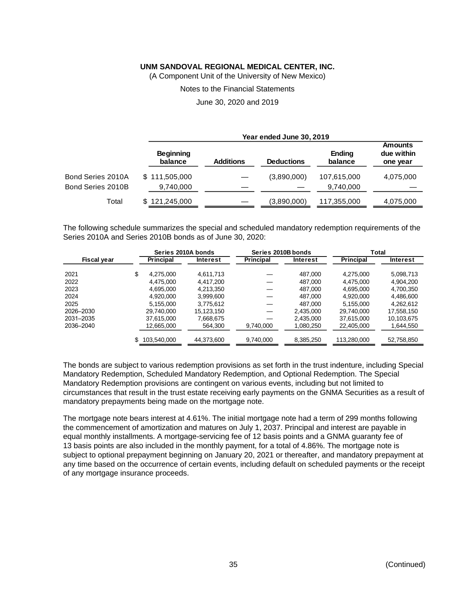(A Component Unit of the University of New Mexico)

Notes to the Financial Statements

June 30, 2020 and 2019

|                   |                             | Year ended June 30, 2019 |                   |                          |                                          |  |  |  |  |
|-------------------|-----------------------------|--------------------------|-------------------|--------------------------|------------------------------------------|--|--|--|--|
|                   | <b>Beginning</b><br>balance | <b>Additions</b>         | <b>Deductions</b> | <b>Ending</b><br>balance | <b>Amounts</b><br>due within<br>one year |  |  |  |  |
| Bond Series 2010A | \$111,505,000               |                          | (3,890,000)       | 107,615,000              | 4,075,000                                |  |  |  |  |
| Bond Series 2010B | 9,740,000                   |                          |                   | 9,740,000                |                                          |  |  |  |  |
| Total             | \$121,245,000               |                          | (3,890,000)       | 117,355,000              | 4,075,000                                |  |  |  |  |

The following schedule summarizes the special and scheduled mandatory redemption requirements of the Series 2010A and Series 2010B bonds as of June 30, 2020:

|                    |                  | Series 2010A bonds | Series 2010B bonds |                 |                  | Total           |
|--------------------|------------------|--------------------|--------------------|-----------------|------------------|-----------------|
| <b>Fiscal year</b> | <b>Principal</b> | <b>Interest</b>    | <b>Principal</b>   | <b>Interest</b> | <b>Principal</b> | <b>Interest</b> |
| 2021               | \$<br>4.275.000  | 4,611,713          |                    | 487.000         | 4,275,000        | 5,098,713       |
| 2022               | 4.475.000        | 4.417.200          |                    | 487,000         | 4,475,000        | 4,904,200       |
| 2023               | 4,695,000        | 4,213,350          |                    | 487.000         | 4,695,000        | 4,700,350       |
| 2024               | 4,920,000        | 3,999,600          |                    | 487,000         | 4,920,000        | 4,486,600       |
| 2025               | 5.155.000        | 3,775,612          |                    | 487.000         | 5.155.000        | 4,262,612       |
| 2026-2030          | 29,740,000       | 15,123,150         |                    | 2,435,000       | 29,740,000       | 17,558,150      |
| 2031-2035          | 37.615.000       | 7,668,675          |                    | 2.435.000       | 37,615,000       | 10,103,675      |
| 2036-2040          | 12,665,000       | 564,300            | 9,740,000          | 1,080,250       | 22,405,000       | 1,644,550       |
|                    | 103,540,000      | 44,373,600         | 9,740,000          | 8,385,250       | 113,280,000      | 52,758,850      |

The bonds are subject to various redemption provisions as set forth in the trust indenture, including Special Mandatory Redemption, Scheduled Mandatory Redemption, and Optional Redemption. The Special Mandatory Redemption provisions are contingent on various events, including but not limited to circumstances that result in the trust estate receiving early payments on the GNMA Securities as a result of mandatory prepayments being made on the mortgage note.

The mortgage note bears interest at 4.61%. The initial mortgage note had a term of 299 months following the commencement of amortization and matures on July 1, 2037. Principal and interest are payable in equal monthly installments. A mortgage-servicing fee of 12 basis points and a GNMA guaranty fee of 13 basis points are also included in the monthly payment, for a total of 4.86%. The mortgage note is subject to optional prepayment beginning on January 20, 2021 or thereafter, and mandatory prepayment at any time based on the occurrence of certain events, including default on scheduled payments or the receipt of any mortgage insurance proceeds.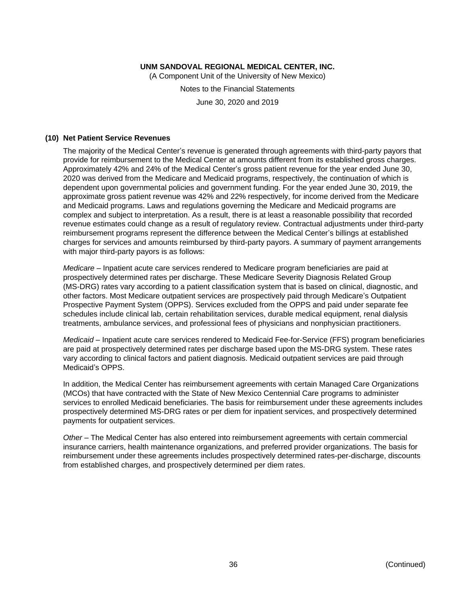(A Component Unit of the University of New Mexico)

Notes to the Financial Statements June 30, 2020 and 2019

#### **(10) Net Patient Service Revenues**

The majority of the Medical Center's revenue is generated through agreements with third-party payors that provide for reimbursement to the Medical Center at amounts different from its established gross charges. Approximately 42% and 24% of the Medical Center's gross patient revenue for the year ended June 30, 2020 was derived from the Medicare and Medicaid programs, respectively, the continuation of which is dependent upon governmental policies and government funding. For the year ended June 30, 2019, the approximate gross patient revenue was 42% and 22% respectively, for income derived from the Medicare and Medicaid programs. Laws and regulations governing the Medicare and Medicaid programs are complex and subject to interpretation. As a result, there is at least a reasonable possibility that recorded revenue estimates could change as a result of regulatory review. Contractual adjustments under third-party reimbursement programs represent the difference between the Medical Center's billings at established charges for services and amounts reimbursed by third-party payors. A summary of payment arrangements with major third-party payors is as follows:

*Medicare* – Inpatient acute care services rendered to Medicare program beneficiaries are paid at prospectively determined rates per discharge. These Medicare Severity Diagnosis Related Group (MS-DRG) rates vary according to a patient classification system that is based on clinical, diagnostic, and other factors. Most Medicare outpatient services are prospectively paid through Medicare's Outpatient Prospective Payment System (OPPS). Services excluded from the OPPS and paid under separate fee schedules include clinical lab, certain rehabilitation services, durable medical equipment, renal dialysis treatments, ambulance services, and professional fees of physicians and nonphysician practitioners.

*Medicaid* – Inpatient acute care services rendered to Medicaid Fee-for-Service (FFS) program beneficiaries are paid at prospectively determined rates per discharge based upon the MS-DRG system. These rates vary according to clinical factors and patient diagnosis. Medicaid outpatient services are paid through Medicaid's OPPS.

In addition, the Medical Center has reimbursement agreements with certain Managed Care Organizations (MCOs) that have contracted with the State of New Mexico Centennial Care programs to administer services to enrolled Medicaid beneficiaries. The basis for reimbursement under these agreements includes prospectively determined MS-DRG rates or per diem for inpatient services, and prospectively determined payments for outpatient services.

*Other* – The Medical Center has also entered into reimbursement agreements with certain commercial insurance carriers, health maintenance organizations, and preferred provider organizations. The basis for reimbursement under these agreements includes prospectively determined rates-per-discharge, discounts from established charges, and prospectively determined per diem rates.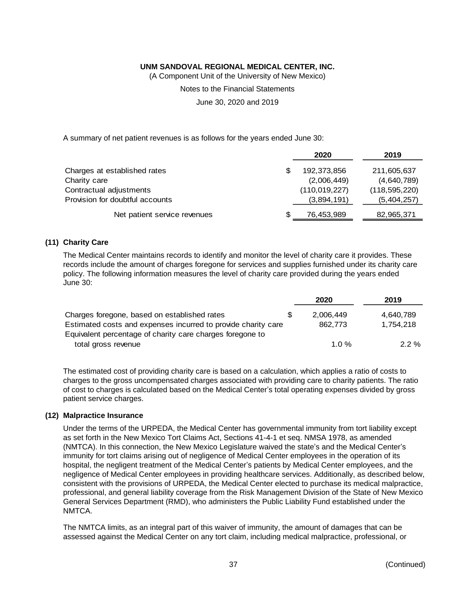(A Component Unit of the University of New Mexico)

Notes to the Financial Statements

June 30, 2020 and 2019

A summary of net patient revenues is as follows for the years ended June 30:

|                                 | 2020            | 2019            |
|---------------------------------|-----------------|-----------------|
| Charges at established rates    | 192,373,856     | 211,605,637     |
| Charity care                    | (2,006,449)     | (4,640,789)     |
| Contractual adjustments         | (110, 019, 227) | (118, 595, 220) |
| Provision for doubtful accounts | (3,894,191)     | (5,404,257)     |
| Net patient service revenues    | 76,453,989      | 82,965,371      |

#### **(11) Charity Care**

The Medical Center maintains records to identify and monitor the level of charity care it provides. These records include the amount of charges foregone for services and supplies furnished under its charity care policy. The following information measures the level of charity care provided during the years ended June 30:

|                                                               | 2020      | 2019      |
|---------------------------------------------------------------|-----------|-----------|
| Charges foregone, based on established rates                  | 2.006.449 | 4.640.789 |
| Estimated costs and expenses incurred to provide charity care | 862.773   | 1.754.218 |
| Equivalent percentage of charity care charges foregone to     |           |           |
| total gross revenue                                           | 1.0 $%$   | $2.2 \%$  |

The estimated cost of providing charity care is based on a calculation, which applies a ratio of costs to charges to the gross uncompensated charges associated with providing care to charity patients. The ratio of cost to charges is calculated based on the Medical Center's total operating expenses divided by gross patient service charges.

#### **(12) Malpractice Insurance**

Under the terms of the URPEDA, the Medical Center has governmental immunity from tort liability except as set forth in the New Mexico Tort Claims Act, Sections 41-4-1 et seq. NMSA 1978, as amended (NMTCA). In this connection, the New Mexico Legislature waived the state's and the Medical Center's immunity for tort claims arising out of negligence of Medical Center employees in the operation of its hospital, the negligent treatment of the Medical Center's patients by Medical Center employees, and the negligence of Medical Center employees in providing healthcare services. Additionally, as described below, consistent with the provisions of URPEDA, the Medical Center elected to purchase its medical malpractice, professional, and general liability coverage from the Risk Management Division of the State of New Mexico General Services Department (RMD), who administers the Public Liability Fund established under the NMTCA.

The NMTCA limits, as an integral part of this waiver of immunity, the amount of damages that can be assessed against the Medical Center on any tort claim, including medical malpractice, professional, or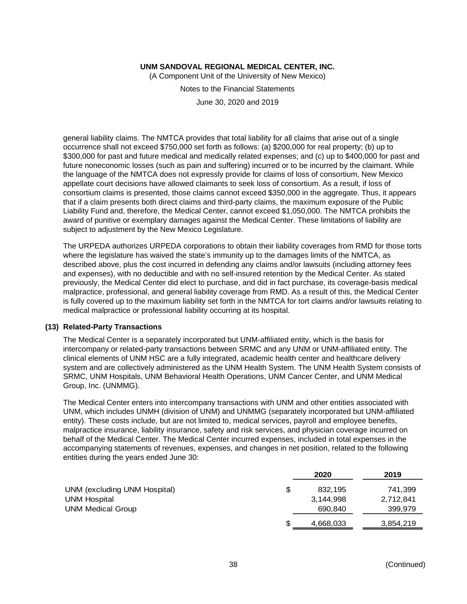(A Component Unit of the University of New Mexico)

Notes to the Financial Statements

June 30, 2020 and 2019

general liability claims. The NMTCA provides that total liability for all claims that arise out of a single occurrence shall not exceed \$750,000 set forth as follows: (a) \$200,000 for real property; (b) up to \$300,000 for past and future medical and medically related expenses; and (c) up to \$400,000 for past and future noneconomic losses (such as pain and suffering) incurred or to be incurred by the claimant. While the language of the NMTCA does not expressly provide for claims of loss of consortium, New Mexico appellate court decisions have allowed claimants to seek loss of consortium. As a result, if loss of consortium claims is presented, those claims cannot exceed \$350,000 in the aggregate. Thus, it appears that if a claim presents both direct claims and third-party claims, the maximum exposure of the Public Liability Fund and, therefore, the Medical Center, cannot exceed \$1,050,000. The NMTCA prohibits the award of punitive or exemplary damages against the Medical Center. These limitations of liability are subject to adjustment by the New Mexico Legislature.

The URPEDA authorizes URPEDA corporations to obtain their liability coverages from RMD for those torts where the legislature has waived the state's immunity up to the damages limits of the NMTCA, as described above, plus the cost incurred in defending any claims and/or lawsuits (including attorney fees and expenses), with no deductible and with no self-insured retention by the Medical Center. As stated previously, the Medical Center did elect to purchase, and did in fact purchase, its coverage-basis medical malpractice, professional, and general liability coverage from RMD. As a result of this, the Medical Center is fully covered up to the maximum liability set forth in the NMTCA for tort claims and/or lawsuits relating to medical malpractice or professional liability occurring at its hospital.

#### **(13) Related-Party Transactions**

The Medical Center is a separately incorporated but UNM-affiliated entity, which is the basis for intercompany or related-party transactions between SRMC and any UNM or UNM-affiliated entity. The clinical elements of UNM HSC are a fully integrated, academic health center and healthcare delivery system and are collectively administered as the UNM Health System. The UNM Health System consists of SRMC, UNM Hospitals, UNM Behavioral Health Operations, UNM Cancer Center, and UNM Medical Group, Inc. (UNMMG).

The Medical Center enters into intercompany transactions with UNM and other entities associated with UNM, which includes UNMH (division of UNM) and UNMMG (separately incorporated but UNM-affiliated entity). These costs include, but are not limited to, medical services, payroll and employee benefits, malpractice insurance, liability insurance, safety and risk services, and physician coverage incurred on behalf of the Medical Center. The Medical Center incurred expenses, included in total expenses in the accompanying statements of revenues, expenses, and changes in net position, related to the following entities during the years ended June 30:

|                              |   | 2020      | 2019      |
|------------------------------|---|-----------|-----------|
| UNM (excluding UNM Hospital) | S | 832.195   | 741,399   |
| <b>UNM Hospital</b>          |   | 3,144,998 | 2,712,841 |
| <b>UNM Medical Group</b>     |   | 690,840   | 399,979   |
|                              | S | 4,668,033 | 3,854,219 |
|                              |   |           |           |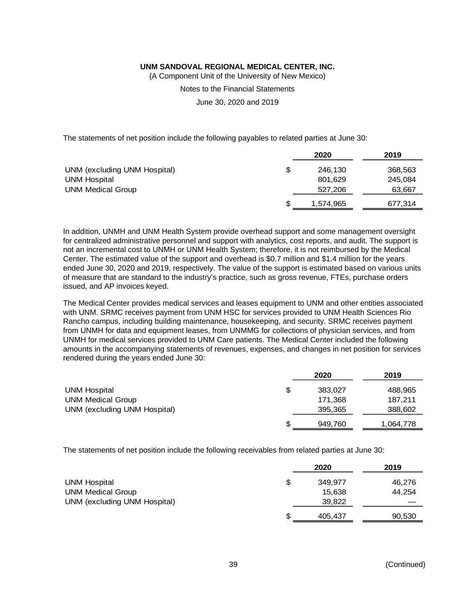(A Component Unit of the University of New Mexico)

Notes to the Financial Statements

June 30, 2020 and 2019

The statements of net position include the following payables to related parties at June 30:

|                              |     | 2020      | 2019    |
|------------------------------|-----|-----------|---------|
| UNM (excluding UNM Hospital) | S   | 246,130   | 368,563 |
| <b>UNM Hospital</b>          |     | 801,629   | 245,084 |
| <b>UNM Medical Group</b>     |     | 527,206   | 63,667  |
|                              | \$. | 1,574,965 | 677,314 |

In addition, UNMH and UNM Health System provide overhead support and some management oversight for centralized administrative personnel and support with analytics, cost reports, and audit. The support is not an incremental cost to UNMH or UNM Health System; therefore, it is not reimbursed by the Medical Center. The estimated value of the support and overhead is \$0.7 million and \$1.4 million for the years ended June 30, 2020 and 2019, respectively. The value of the support is estimated based on various units of measure that are standard to the industry's practice, such as gross revenue, FTEs, purchase orders issued, and AP invoices keyed.

The Medical Center provides medical services and leases equipment to UNM and other entities associated with UNM. SRMC receives payment from UNM HSC for services provided to UNM Health Sciences Rio Rancho campus, including building maintenance, housekeeping, and security. SRMC receives payment from UNMH for data and equipment leases, from UNMMG for collections of physician services, and from UNMH for medical services provided to UNM Care patients. The Medical Center included the following amounts in the accompanying statements of revenues, expenses, and changes in net position for services rendered during the years ended June 30:

|                              |    | 2020    | 2019      |
|------------------------------|----|---------|-----------|
| <b>UNM Hospital</b>          | \$ | 383.027 | 488,965   |
| <b>UNM Medical Group</b>     |    | 171,368 | 187,211   |
| UNM (excluding UNM Hospital) |    | 395,365 | 388,602   |
|                              | S  | 949,760 | 1,064,778 |

The statements of net position include the following receivables from related parties at June 30:

|                                                          |    | 2020             | 2019   |
|----------------------------------------------------------|----|------------------|--------|
| <b>UNM Hospital</b>                                      | \$ | 349.977          | 46,276 |
| <b>UNM Medical Group</b><br>UNM (excluding UNM Hospital) |    | 15.638<br>39,822 | 44,254 |
|                                                          |    |                  |        |
|                                                          | S  | 405,437          | 90,530 |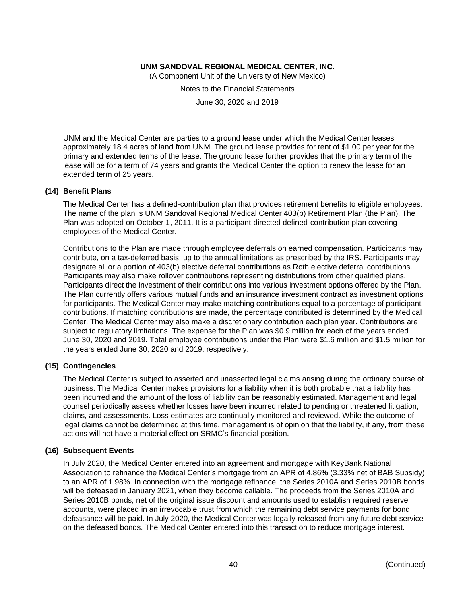(A Component Unit of the University of New Mexico)

Notes to the Financial Statements

June 30, 2020 and 2019

UNM and the Medical Center are parties to a ground lease under which the Medical Center leases approximately 18.4 acres of land from UNM. The ground lease provides for rent of \$1.00 per year for the primary and extended terms of the lease. The ground lease further provides that the primary term of the lease will be for a term of 74 years and grants the Medical Center the option to renew the lease for an extended term of 25 years.

#### **(14) Benefit Plans**

The Medical Center has a defined-contribution plan that provides retirement benefits to eligible employees. The name of the plan is UNM Sandoval Regional Medical Center 403(b) Retirement Plan (the Plan). The Plan was adopted on October 1, 2011. It is a participant-directed defined-contribution plan covering employees of the Medical Center.

Contributions to the Plan are made through employee deferrals on earned compensation. Participants may contribute, on a tax-deferred basis, up to the annual limitations as prescribed by the IRS. Participants may designate all or a portion of 403(b) elective deferral contributions as Roth elective deferral contributions. Participants may also make rollover contributions representing distributions from other qualified plans. Participants direct the investment of their contributions into various investment options offered by the Plan. The Plan currently offers various mutual funds and an insurance investment contract as investment options for participants. The Medical Center may make matching contributions equal to a percentage of participant contributions. If matching contributions are made, the percentage contributed is determined by the Medical Center. The Medical Center may also make a discretionary contribution each plan year. Contributions are subject to regulatory limitations. The expense for the Plan was \$0.9 million for each of the years ended June 30, 2020 and 2019. Total employee contributions under the Plan were \$1.6 million and \$1.5 million for the years ended June 30, 2020 and 2019, respectively.

#### **(15) Contingencies**

The Medical Center is subject to asserted and unasserted legal claims arising during the ordinary course of business. The Medical Center makes provisions for a liability when it is both probable that a liability has been incurred and the amount of the loss of liability can be reasonably estimated. Management and legal counsel periodically assess whether losses have been incurred related to pending or threatened litigation, claims, and assessments. Loss estimates are continually monitored and reviewed. While the outcome of legal claims cannot be determined at this time, management is of opinion that the liability, if any, from these actions will not have a material effect on SRMC's financial position.

#### **(16) Subsequent Events**

In July 2020, the Medical Center entered into an agreement and mortgage with KeyBank National Association to refinance the Medical Center's mortgage from an APR of 4.86**%** (3.33% net of BAB Subsidy) to an APR of 1.98%. In connection with the mortgage refinance, the Series 2010A and Series 2010B bonds will be defeased in January 2021, when they become callable. The proceeds from the Series 2010A and Series 2010B bonds, net of the original issue discount and amounts used to establish required reserve accounts, were placed in an irrevocable trust from which the remaining debt service payments for bond defeasance will be paid. In July 2020, the Medical Center was legally released from any future debt service on the defeased bonds. The Medical Center entered into this transaction to reduce mortgage interest.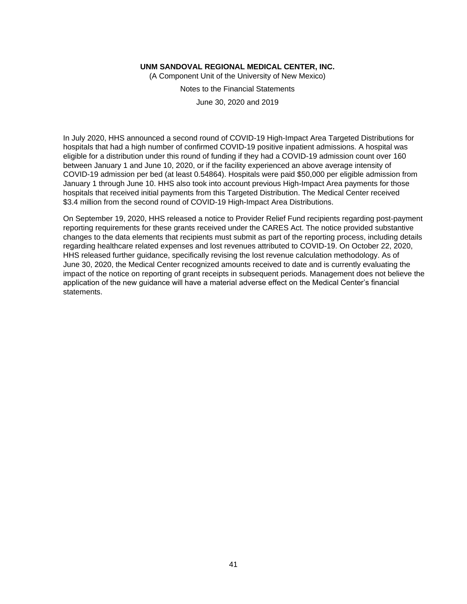(A Component Unit of the University of New Mexico)

Notes to the Financial Statements

June 30, 2020 and 2019

In July 2020, HHS announced a second round of COVID-19 High-Impact Area Targeted Distributions for hospitals that had a high number of confirmed COVID-19 positive inpatient admissions. A hospital was eligible for a distribution under this round of funding if they had a COVID-19 admission count over 160 between January 1 and June 10, 2020, or if the facility experienced an above average intensity of COVID-19 admission per bed (at least 0.54864). Hospitals were paid \$50,000 per eligible admission from January 1 through June 10. HHS also took into account previous High-Impact Area payments for those hospitals that received initial payments from this Targeted Distribution. The Medical Center received \$3.4 million from the second round of COVID-19 High-Impact Area Distributions.

On September 19, 2020, HHS released a notice to Provider Relief Fund recipients regarding post-payment reporting requirements for these grants received under the CARES Act. The notice provided substantive changes to the data elements that recipients must submit as part of the reporting process, including details regarding healthcare related expenses and lost revenues attributed to COVID-19. On October 22, 2020, HHS released further guidance, specifically revising the lost revenue calculation methodology. As of June 30, 2020, the Medical Center recognized amounts received to date and is currently evaluating the impact of the notice on reporting of grant receipts in subsequent periods. Management does not believe the application of the new guidance will have a material adverse effect on the Medical Center's financial statements.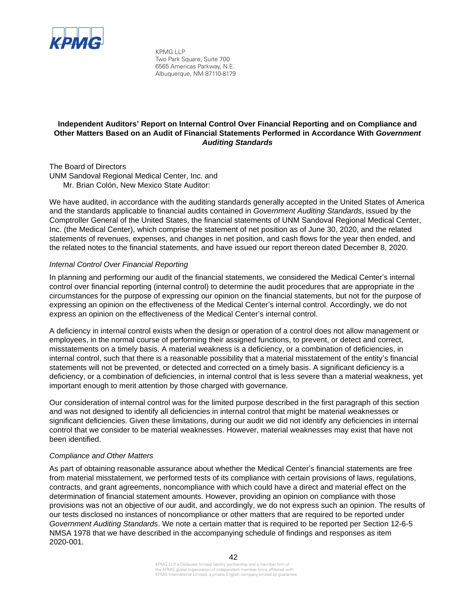

KPMG LLP Two Park Square, Suite 700 6565 Americas Parkway, N.E. Albuquerque, NM 87110-8179

## **Independent Auditors' Report on Internal Control Over Financial Reporting and on Compliance and Other Matters Based on an Audit of Financial Statements Performed in Accordance With** *Government Auditing Standards*

The Board of Directors UNM Sandoval Regional Medical Center, Inc. and Mr. Brian Colón, New Mexico State Auditor:

We have audited, in accordance with the auditing standards generally accepted in the United States of America and the standards applicable to financial audits contained in *Government Auditing Standards*, issued by the Comptroller General of the United States, the financial statements of UNM Sandoval Regional Medical Center, Inc. (the Medical Center), which comprise the statement of net position as of June 30, 2020, and the related statements of revenues, expenses, and changes in net position, and cash flows for the year then ended, and the related notes to the financial statements, and have issued our report thereon dated December 8, 2020.

## *Internal Control Over Financial Reporting*

In planning and performing our audit of the financial statements, we considered the Medical Center's internal control over financial reporting (internal control) to determine the audit procedures that are appropriate in the circumstances for the purpose of expressing our opinion on the financial statements, but not for the purpose of expressing an opinion on the effectiveness of the Medical Center's internal control. Accordingly, we do not express an opinion on the effectiveness of the Medical Center's internal control.

A deficiency in internal control exists when the design or operation of a control does not allow management or employees, in the normal course of performing their assigned functions, to prevent, or detect and correct, misstatements on a timely basis. A material weakness is a deficiency, or a combination of deficiencies, in internal control, such that there is a reasonable possibility that a material misstatement of the entity's financial statements will not be prevented, or detected and corrected on a timely basis. A significant deficiency is a deficiency, or a combination of deficiencies, in internal control that is less severe than a material weakness, yet important enough to merit attention by those charged with governance.

Our consideration of internal control was for the limited purpose described in the first paragraph of this section and was not designed to identify all deficiencies in internal control that might be material weaknesses or significant deficiencies. Given these limitations, during our audit we did not identify any deficiencies in internal control that we consider to be material weaknesses. However, material weaknesses may exist that have not been identified.

#### *Compliance and Other Matters*

As part of obtaining reasonable assurance about whether the Medical Center's financial statements are free from material misstatement, we performed tests of its compliance with certain provisions of laws, regulations, contracts, and grant agreements, noncompliance with which could have a direct and material effect on the determination of financial statement amounts. However, providing an opinion on compliance with those provisions was not an objective of our audit, and accordingly, we do not express such an opinion. The results of our tests disclosed no instances of noncompliance or other matters that are required to be reported under *Government Auditing Standards*. We note a certain matter that is required to be reported per Section 12-6-5 NMSA 1978 that we have described in the accompanying schedule of findings and responses as item 2020-001.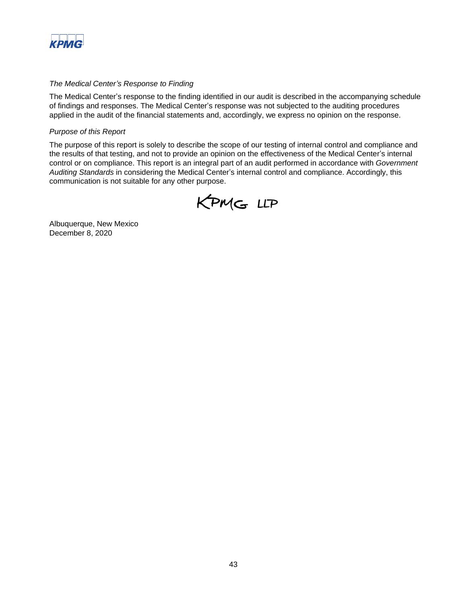

## *The Medical Center's Response to Finding*

The Medical Center's response to the finding identified in our audit is described in the accompanying schedule of findings and responses. The Medical Center's response was not subjected to the auditing procedures applied in the audit of the financial statements and, accordingly, we express no opinion on the response.

#### *Purpose of this Report*

The purpose of this report is solely to describe the scope of our testing of internal control and compliance and the results of that testing, and not to provide an opinion on the effectiveness of the Medical Center's internal control or on compliance. This report is an integral part of an audit performed in accordance with *Government Auditing Standards* in considering the Medical Center's internal control and compliance. Accordingly, this communication is not suitable for any other purpose.



Albuquerque, New Mexico December 8, 2020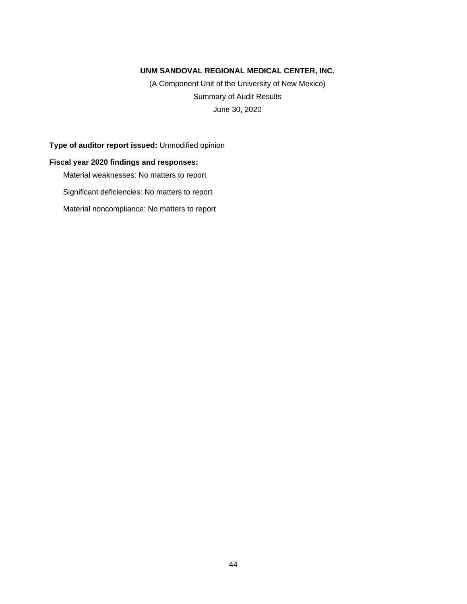(A Component Unit of the University of New Mexico) Summary of Audit Results June 30, 2020

**Type of auditor report issued:** Unmodified opinion

## **Fiscal year 2020 findings and responses:**

Material weaknesses: No matters to report

Significant deficiencies: No matters to report

Material noncompliance: No matters to report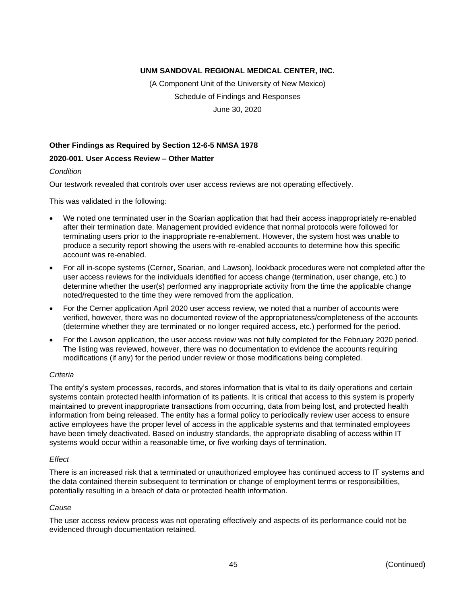(A Component Unit of the University of New Mexico) Schedule of Findings and Responses June 30, 2020

## **Other Findings as Required by Section 12-6-5 NMSA 1978**

#### **2020-001. User Access Review – Other Matter**

*Condition*

Our testwork revealed that controls over user access reviews are not operating effectively.

This was validated in the following:

- We noted one terminated user in the Soarian application that had their access inappropriately re-enabled after their termination date. Management provided evidence that normal protocols were followed for terminating users prior to the inappropriate re-enablement. However, the system host was unable to produce a security report showing the users with re-enabled accounts to determine how this specific account was re-enabled.
- For all in-scope systems (Cerner, Soarian, and Lawson), lookback procedures were not completed after the user access reviews for the individuals identified for access change (termination, user change, etc.) to determine whether the user(s) performed any inappropriate activity from the time the applicable change noted/requested to the time they were removed from the application.
- For the Cerner application April 2020 user access review, we noted that a number of accounts were verified, however, there was no documented review of the appropriateness/completeness of the accounts (determine whether they are terminated or no longer required access, etc.) performed for the period.
- For the Lawson application, the user access review was not fully completed for the February 2020 period. The listing was reviewed, however, there was no documentation to evidence the accounts requiring modifications (if any) for the period under review or those modifications being completed.

#### *Criteria*

The entity's system processes, records, and stores information that is vital to its daily operations and certain systems contain protected health information of its patients. It is critical that access to this system is properly maintained to prevent inappropriate transactions from occurring, data from being lost, and protected health information from being released. The entity has a formal policy to periodically review user access to ensure active employees have the proper level of access in the applicable systems and that terminated employees have been timely deactivated. Based on industry standards, the appropriate disabling of access within IT systems would occur within a reasonable time, or five working days of termination.

#### *Effect*

There is an increased risk that a terminated or unauthorized employee has continued access to IT systems and the data contained therein subsequent to termination or change of employment terms or responsibilities, potentially resulting in a breach of data or protected health information.

#### *Cause*

The user access review process was not operating effectively and aspects of its performance could not be evidenced through documentation retained.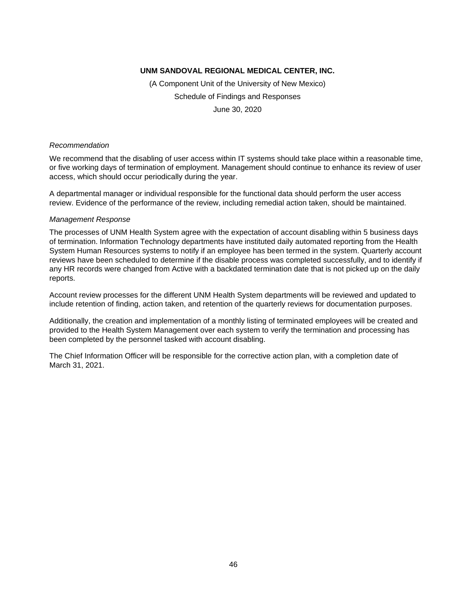(A Component Unit of the University of New Mexico) Schedule of Findings and Responses June 30, 2020

#### *Recommendation*

We recommend that the disabling of user access within IT systems should take place within a reasonable time, or five working days of termination of employment. Management should continue to enhance its review of user access, which should occur periodically during the year.

A departmental manager or individual responsible for the functional data should perform the user access review. Evidence of the performance of the review, including remedial action taken, should be maintained.

#### *Management Response*

The processes of UNM Health System agree with the expectation of account disabling within 5 business days of termination. Information Technology departments have instituted daily automated reporting from the Health System Human Resources systems to notify if an employee has been termed in the system. Quarterly account reviews have been scheduled to determine if the disable process was completed successfully, and to identify if any HR records were changed from Active with a backdated termination date that is not picked up on the daily reports.

Account review processes for the different UNM Health System departments will be reviewed and updated to include retention of finding, action taken, and retention of the quarterly reviews for documentation purposes.

Additionally, the creation and implementation of a monthly listing of terminated employees will be created and provided to the Health System Management over each system to verify the termination and processing has been completed by the personnel tasked with account disabling.

The Chief Information Officer will be responsible for the corrective action plan, with a completion date of March 31, 2021.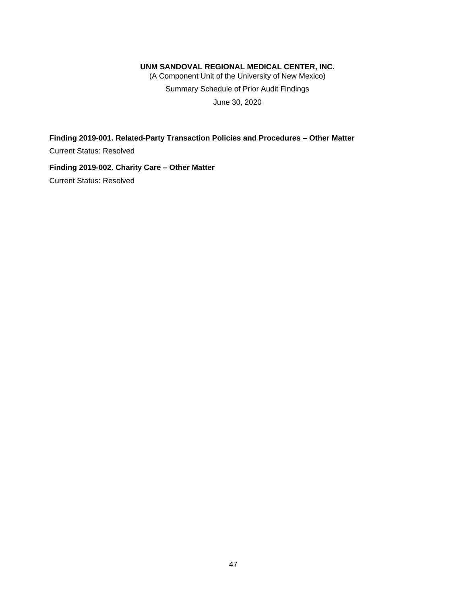(A Component Unit of the University of New Mexico) Summary Schedule of Prior Audit Findings June 30, 2020

**Finding 2019-001. Related-Party Transaction Policies and Procedures – Other Matter** Current Status: Resolved

**Finding 2019-002. Charity Care – Other Matter** Current Status: Resolved